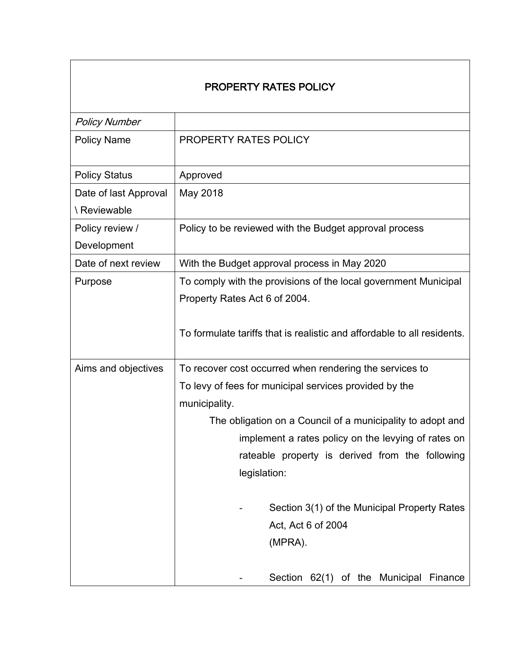# PROPERTY RATES POLICY

| <b>Policy Number</b>  |                                                                         |  |
|-----------------------|-------------------------------------------------------------------------|--|
| <b>Policy Name</b>    | <b>PROPERTY RATES POLICY</b>                                            |  |
| <b>Policy Status</b>  | Approved                                                                |  |
| Date of last Approval | May 2018                                                                |  |
| \ Reviewable          |                                                                         |  |
| Policy review /       | Policy to be reviewed with the Budget approval process                  |  |
| Development           |                                                                         |  |
| Date of next review   | With the Budget approval process in May 2020                            |  |
| Purpose               | To comply with the provisions of the local government Municipal         |  |
|                       | Property Rates Act 6 of 2004.                                           |  |
|                       | To formulate tariffs that is realistic and affordable to all residents. |  |
| Aims and objectives   | To recover cost occurred when rendering the services to                 |  |
|                       | To levy of fees for municipal services provided by the                  |  |
|                       | municipality.                                                           |  |
|                       | The obligation on a Council of a municipality to adopt and              |  |
|                       | implement a rates policy on the levying of rates on                     |  |
|                       | rateable property is derived from the following                         |  |
|                       | legislation:                                                            |  |
|                       |                                                                         |  |
|                       | Section 3(1) of the Municipal Property Rates                            |  |
|                       | Act, Act 6 of 2004                                                      |  |
|                       | (MPRA).                                                                 |  |
|                       | Section 62(1) of the Municipal Finance                                  |  |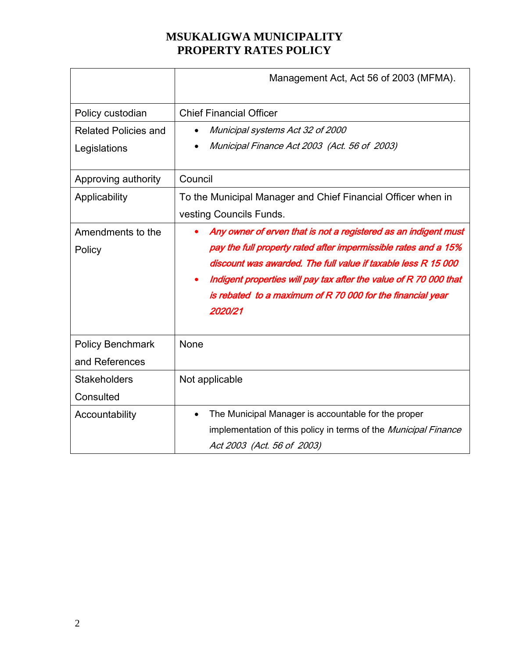|                             | Management Act, Act 56 of 2003 (MFMA).                            |  |
|-----------------------------|-------------------------------------------------------------------|--|
| Policy custodian            | <b>Chief Financial Officer</b>                                    |  |
| <b>Related Policies and</b> | Municipal systems Act 32 of 2000                                  |  |
| Legislations                | Municipal Finance Act 2003 (Act. 56 of 2003)                      |  |
| Approving authority         | Council                                                           |  |
| Applicability               | To the Municipal Manager and Chief Financial Officer when in      |  |
|                             | vesting Councils Funds.                                           |  |
| Amendments to the           | Any owner of erven that is not a registered as an indigent must   |  |
| Policy                      | pay the full property rated after impermissible rates and a 15%   |  |
|                             | discount was awarded. The full value if taxable less R 15 000     |  |
|                             | Indigent properties will pay tax after the value of R 70 000 that |  |
|                             | is rebated to a maximum of R 70 000 for the financial year        |  |
|                             | 2020/21                                                           |  |
| <b>Policy Benchmark</b>     | None                                                              |  |
| and References              |                                                                   |  |
| <b>Stakeholders</b>         | Not applicable                                                    |  |
| Consulted                   |                                                                   |  |
| Accountability              | The Municipal Manager is accountable for the proper               |  |
|                             | implementation of this policy in terms of the Municipal Finance   |  |
|                             | Act 2003 (Act. 56 of 2003)                                        |  |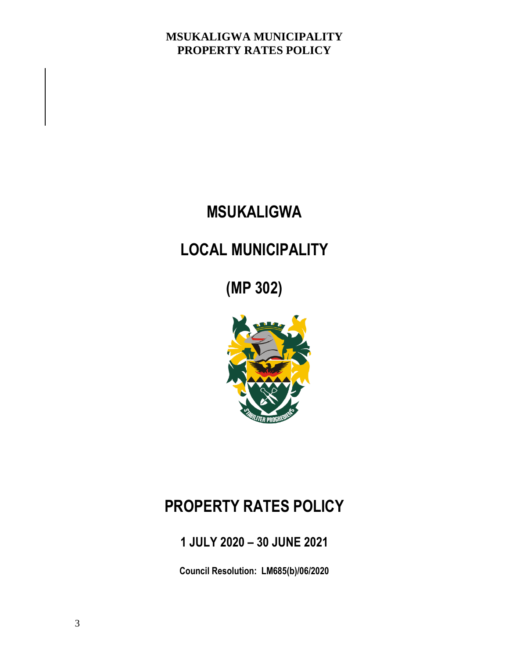# **MSUKALIGWA**

# **LOCAL MUNICIPALITY**

**(MP 302)**



# **PROPERTY RATES POLICY**

**1 JULY 2020 – 30 JUNE 2021**

**Council Resolution: LM685(b)/06/2020**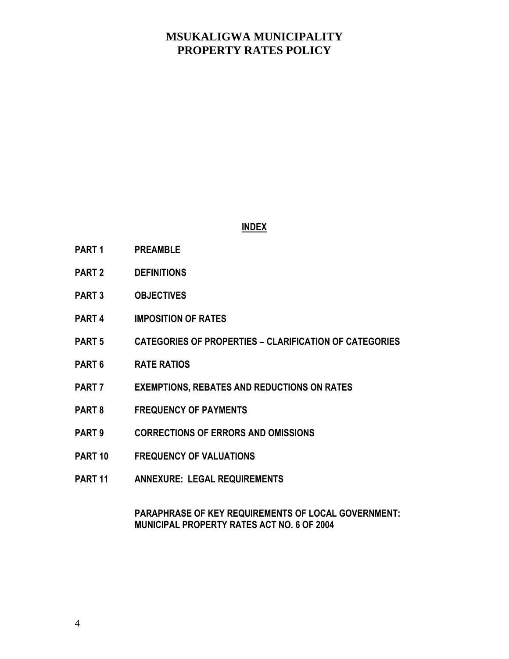#### **INDEX**

- **PART 1 PREAMBLE**
- **PART 2 DEFINITIONS**
- **PART 3 OBJECTIVES**
- **PART 4 IMPOSITION OF RATES**
- **PART 5 CATEGORIES OF PROPERTIES – CLARIFICATION OF CATEGORIES**
- **PART 6 RATE RATIOS**
- **PART 7 EXEMPTIONS, REBATES AND REDUCTIONS ON RATES**
- **PART 8 FREQUENCY OF PAYMENTS**
- **PART 9 CORRECTIONS OF ERRORS AND OMISSIONS**
- **PART 10 FREQUENCY OF VALUATIONS**
- **PART 11 ANNEXURE: LEGAL REQUIREMENTS**

#### **PARAPHRASE OF KEY REQUIREMENTS OF LOCAL GOVERNMENT: MUNICIPAL PROPERTY RATES ACT NO. 6 OF 2004**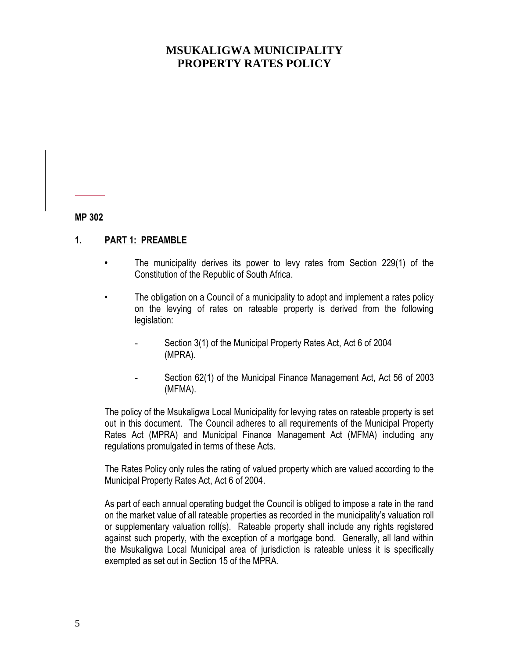**MP 302**

#### **1. PART 1: PREAMBLE**

- **•** The municipality derives its power to levy rates from Section 229(1) of the Constitution of the Republic of South Africa.
- The obligation on a Council of a municipality to adopt and implement a rates policy on the levying of rates on rateable property is derived from the following legislation:
	- Section 3(1) of the Municipal Property Rates Act, Act 6 of 2004 (MPRA).
	- Section 62(1) of the Municipal Finance Management Act, Act 56 of 2003 (MFMA).

The policy of the Msukaligwa Local Municipality for levying rates on rateable property is set out in this document. The Council adheres to all requirements of the Municipal Property Rates Act (MPRA) and Municipal Finance Management Act (MFMA) including any regulations promulgated in terms of these Acts.

The Rates Policy only rules the rating of valued property which are valued according to the Municipal Property Rates Act, Act 6 of 2004.

As part of each annual operating budget the Council is obliged to impose a rate in the rand on the market value of all rateable properties as recorded in the municipality's valuation roll or supplementary valuation roll(s). Rateable property shall include any rights registered against such property, with the exception of a mortgage bond. Generally, all land within the Msukaligwa Local Municipal area of jurisdiction is rateable unless it is specifically exempted as set out in Section 15 of the MPRA.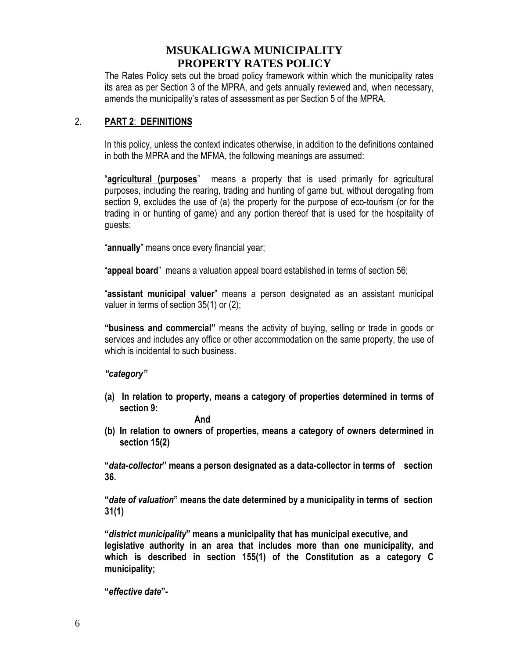The Rates Policy sets out the broad policy framework within which the municipality rates its area as per Section 3 of the MPRA, and gets annually reviewed and, when necessary, amends the municipality's rates of assessment as per Section 5 of the MPRA.

### 2. **PART 2**: **DEFINITIONS**

In this policy, unless the context indicates otherwise, in addition to the definitions contained in both the MPRA and the MFMA, the following meanings are assumed:

"**agricultural (purposes**" means a property that is used primarily for agricultural purposes, including the rearing, trading and hunting of game but, without derogating from section 9, excludes the use of (a) the property for the purpose of eco-tourism (or for the trading in or hunting of game) and any portion thereof that is used for the hospitality of guests;

"**annually**" means once every financial year;

"**appeal board**" means a valuation appeal board established in terms of section 56;

"**assistant municipal valuer**" means a person designated as an assistant municipal valuer in terms of section 35(1) or (2);

**"business and commercial"** means the activity of buying, selling or trade in goods or services and includes any office or other accommodation on the same property, the use of which is incidental to such business.

#### *"category"*

**(a) In relation to property, means a category of properties determined in terms of section 9:**

#### **And**

**(b) In relation to owners of properties, means a category of owners determined in section 15(2)**

**"***data-collector***" means a person designated as a data-collector in terms of section 36.**

**"***date of valuation***" means the date determined by a municipality in terms of section 31(1)**

**"***district municipality***" means a municipality that has municipal executive, and legislative authority in an area that includes more than one municipality, and which is described in section 155(1) of the Constitution as a category C municipality;**

**"***effective date***"-**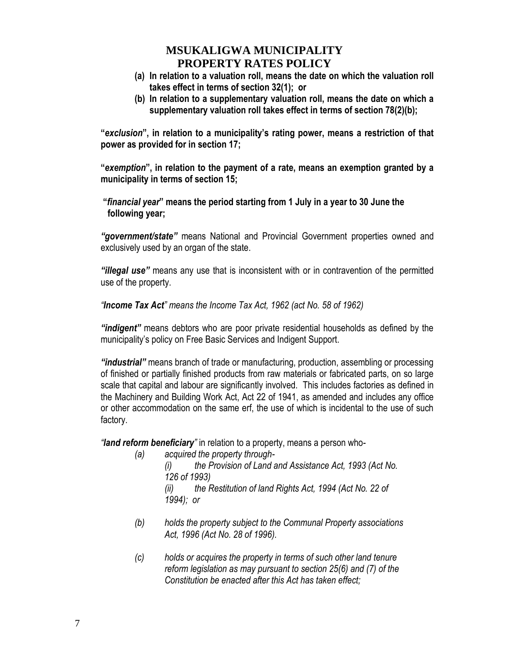- **(a) In relation to a valuation roll, means the date on which the valuation roll takes effect in terms of section 32(1); or**
- **(b) In relation to a supplementary valuation roll, means the date on which a supplementary valuation roll takes effect in terms of section 78(2)(b);**

**"***exclusion***", in relation to a municipality's rating power, means a restriction of that power as provided for in section 17;**

**"***exemption***", in relation to the payment of a rate, means an exemption granted by a municipality in terms of section 15;**

**"***financial year***" means the period starting from 1 July in a year to 30 June the following year;**

*"government/state"* means National and Provincial Government properties owned and exclusively used by an organ of the state.

*"illegal use"* means any use that is inconsistent with or in contravention of the permitted use of the property.

*"Income Tax Act" means the Income Tax Act, 1962 (act No. 58 of 1962)*

*"indigent"* means debtors who are poor private residential households as defined by the municipality's policy on Free Basic Services and Indigent Support.

*"industrial"* means branch of trade or manufacturing, production, assembling or processing of finished or partially finished products from raw materials or fabricated parts, on so large scale that capital and labour are significantly involved. This includes factories as defined in the Machinery and Building Work Act, Act 22 of 1941, as amended and includes any office or other accommodation on the same erf, the use of which is incidental to the use of such factory.

*"land reform beneficiary"* in relation to a property, means a person who-

- *(a) acquired the property through- (i) the Provision of Land and Assistance Act, 1993 (Act No. 126 of 1993) (ii) the Restitution of land Rights Act, 1994 (Act No. 22 of 1994); or*
- *(b) holds the property subject to the Communal Property associations Act, 1996 (Act No. 28 of 1996).*
- *(c) holds or acquires the property in terms of such other land tenure reform legislation as may pursuant to section 25(6) and (7) of the Constitution be enacted after this Act has taken effect;*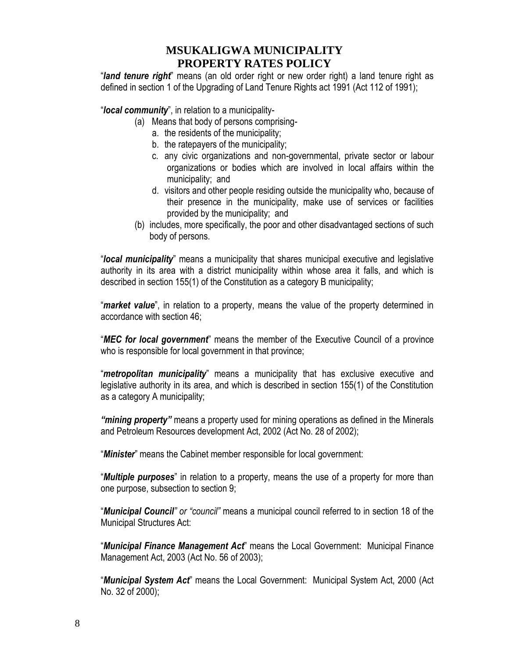"*land tenure right*" means (an old order right or new order right) a land tenure right as defined in section 1 of the Upgrading of Land Tenure Rights act 1991 (Act 112 of 1991);

"*local community*", in relation to a municipality-

- (a) Means that body of persons comprising
	- a. the residents of the municipality;
	- b. the ratepayers of the municipality;
	- c. any civic organizations and non-governmental, private sector or labour organizations or bodies which are involved in local affairs within the municipality; and
	- d. visitors and other people residing outside the municipality who, because of their presence in the municipality, make use of services or facilities provided by the municipality; and
- (b) includes, more specifically, the poor and other disadvantaged sections of such body of persons.

"*local municipality*" means a municipality that shares municipal executive and legislative authority in its area with a district municipality within whose area it falls, and which is described in section 155(1) of the Constitution as a category B municipality;

"*market value*", in relation to a property, means the value of the property determined in accordance with section 46;

"*MEC for local government*" means the member of the Executive Council of a province who is responsible for local government in that province;

"*metropolitan municipality*" means a municipality that has exclusive executive and legislative authority in its area, and which is described in section 155(1) of the Constitution as a category A municipality;

*"mining property"* means a property used for mining operations as defined in the Minerals and Petroleum Resources development Act, 2002 (Act No. 28 of 2002);

"*Minister*" means the Cabinet member responsible for local government:

"*Multiple purposes*" in relation to a property, means the use of a property for more than one purpose, subsection to section 9;

"*Municipal Council" or "council"* means a municipal council referred to in section 18 of the Municipal Structures Act:

"*Municipal Finance Management Act*" means the Local Government: Municipal Finance Management Act, 2003 (Act No. 56 of 2003);

"*Municipal System Act*" means the Local Government: Municipal System Act, 2000 (Act No. 32 of 2000);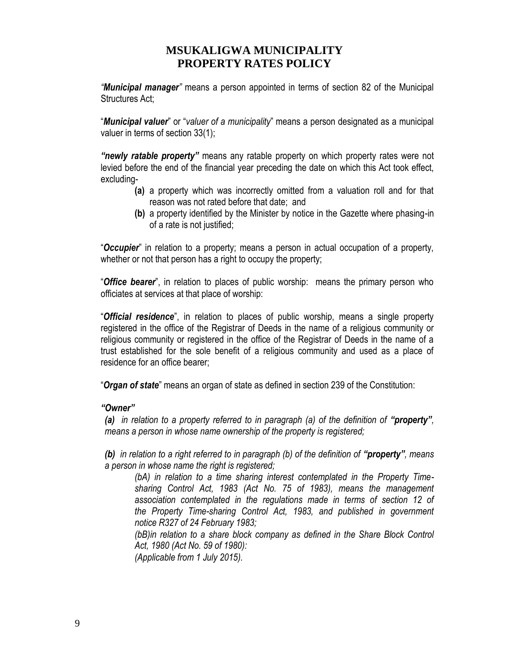*"Municipal manager"* means a person appointed in terms of section 82 of the Municipal Structures Act;

"*Municipal valuer*" or "*valuer of a municipality*" means a person designated as a municipal valuer in terms of section 33(1);

*"newly ratable property"* means any ratable property on which property rates were not levied before the end of the financial year preceding the date on which this Act took effect, excluding-

- **(a)** a property which was incorrectly omitted from a valuation roll and for that reason was not rated before that date; and
- **(b)** a property identified by the Minister by notice in the Gazette where phasing-in of a rate is not justified;

"*Occupier*" in relation to a property; means a person in actual occupation of a property, whether or not that person has a right to occupy the property;

"*Office bearer*", in relation to places of public worship: means the primary person who officiates at services at that place of worship:

"*Official residence*", in relation to places of public worship, means a single property registered in the office of the Registrar of Deeds in the name of a religious community or religious community or registered in the office of the Registrar of Deeds in the name of a trust established for the sole benefit of a religious community and used as a place of residence for an office bearer;

"*Organ of state*" means an organ of state as defined in section 239 of the Constitution:

#### *"Owner"*

*(a) in relation to a property referred to in paragraph (a) of the definition of "property", means a person in whose name ownership of the property is registered;*

*(b)* in relation to a right referred to in paragraph (b) of the definition of "property", means *a person in whose name the right is registered;*

*(bA) in relation to a time sharing interest contemplated in the Property Timesharing Control Act, 1983 (Act No. 75 of 1983), means the management association contemplated in the regulations made in terms of section 12 of the Property Time-sharing Control Act, 1983, and published in government notice R327 of 24 February 1983;*

*(bB)in relation to a share block company as defined in the Share Block Control Act, 1980 (Act No. 59 of 1980):*

*(Applicable from 1 July 2015).*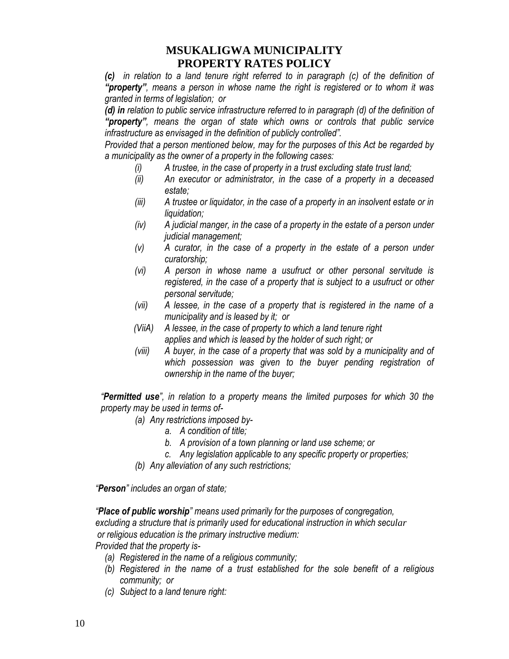*(c) in relation to a land tenure right referred to in paragraph (c) of the definition of "property", means a person in whose name the right is registered or to whom it was granted in terms of legislation; or*

*(d) in relation to public service infrastructure referred to in paragraph (d) of the definition of "property", means the organ of state which owns or controls that public service infrastructure as envisaged in the definition of publicly controlled".*

*Provided that a person mentioned below, may for the purposes of this Act be regarded by a municipality as the owner of a property in the following cases:*

- *(i) A trustee, in the case of property in a trust excluding state trust land;*
- *(ii) An executor or administrator, in the case of a property in a deceased estate;*
- *(iii) A trustee or liquidator, in the case of a property in an insolvent estate or in liquidation;*
- *(iv) A judicial manger, in the case of a property in the estate of a person under judicial management;*
- *(v) A curator, in the case of a property in the estate of a person under curatorship;*
- *(vi) A person in whose name a usufruct or other personal servitude is registered, in the case of a property that is subject to a usufruct or other personal servitude;*
- *(vii) A lessee, in the case of a property that is registered in the name of a municipality and is leased by it; or*
- *(ViiA) A lessee, in the case of property to which a land tenure right applies and which is leased by the holder of such right; or*
- *(viii) A buyer, in the case of a property that was sold by a municipality and of which possession was given to the buyer pending registration of ownership in the name of the buyer;*

*"Permitted use", in relation to a property means the limited purposes for which 30 the property may be used in terms of-*

- *(a) Any restrictions imposed by*
	- *a. A condition of title;*
	- *b. A provision of a town planning or land use scheme; or*
	- *c. Any legislation applicable to any specific property or properties;*
- *(b) Any alleviation of any such restrictions;*

 *"Person" includes an organ of state;*

 *"Place of public worship" means used primarily for the purposes of congregation, excluding a structure that is primarily used for educational instruction in which secular or religious education is the primary instructive medium:* 

 *Provided that the property is-*

- *(a) Registered in the name of a religious community;*
- *(b) Registered in the name of a trust established for the sole benefit of a religious community; or*
- *(c) Subject to a land tenure right:*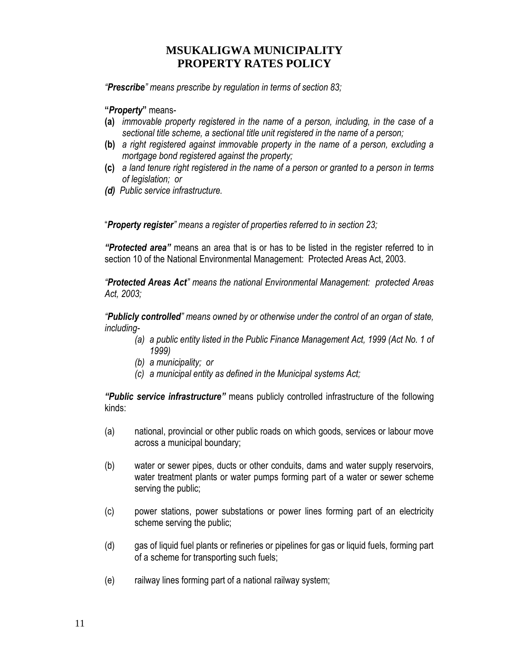*"Prescribe" means prescribe by regulation in terms of section 83;*

**"***Property***"** means-

- **(a)** *immovable property registered in the name of a person, including, in the case of a sectional title scheme, a sectional title unit registered in the name of a person;*
- **(b)** *a right registered against immovable property in the name of a person, excluding a mortgage bond registered against the property;*
- **(c)** *a land tenure right registered in the name of a person or granted to a person in terms of legislation; or*
- *(d) Public service infrastructure.*

"*Property register" means a register of properties referred to in section 23;*

*"Protected area"* means an area that is or has to be listed in the register referred to in section 10 of the National Environmental Management: Protected Areas Act, 2003.

*"Protected Areas Act" means the national Environmental Management: protected Areas Act, 2003;*

*"Publicly controlled" means owned by or otherwise under the control of an organ of state, including-*

- *(a) a public entity listed in the Public Finance Management Act, 1999 (Act No. 1 of 1999)*
- *(b) a municipality; or*
- *(c) a municipal entity as defined in the Municipal systems Act;*

*"Public service infrastructure"* means publicly controlled infrastructure of the following kinds:

- (a) national, provincial or other public roads on which goods, services or labour move across a municipal boundary;
- (b) water or sewer pipes, ducts or other conduits, dams and water supply reservoirs, water treatment plants or water pumps forming part of a water or sewer scheme serving the public;
- (c) power stations, power substations or power lines forming part of an electricity scheme serving the public;
- (d) gas of liquid fuel plants or refineries or pipelines for gas or liquid fuels, forming part of a scheme for transporting such fuels;
- (e) railway lines forming part of a national railway system;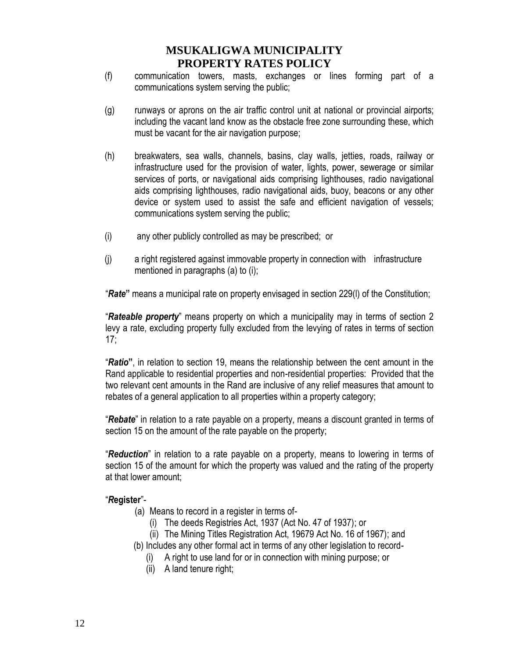- (f) communication towers, masts, exchanges or lines forming part of a communications system serving the public;
- (g) runways or aprons on the air traffic control unit at national or provincial airports; including the vacant land know as the obstacle free zone surrounding these, which must be vacant for the air navigation purpose;
- (h) breakwaters, sea walls, channels, basins, clay walls, jetties, roads, railway or infrastructure used for the provision of water, lights, power, sewerage or similar services of ports, or navigational aids comprising lighthouses, radio navigational aids comprising lighthouses, radio navigational aids, buoy, beacons or any other device or system used to assist the safe and efficient navigation of vessels; communications system serving the public;
- (i) any other publicly controlled as may be prescribed; or
- (j) a right registered against immovable property in connection with infrastructure mentioned in paragraphs (a) to (i);

"*Rate***"** means a municipal rate on property envisaged in section 229(l) of the Constitution;

"*Rateable property*" means property on which a municipality may in terms of section 2 levy a rate, excluding property fully excluded from the levying of rates in terms of section 17;

"*Ratio***"**, in relation to section 19, means the relationship between the cent amount in the Rand applicable to residential properties and non-residential properties: Provided that the two relevant cent amounts in the Rand are inclusive of any relief measures that amount to rebates of a general application to all properties within a property category;

"*Rebate*" in relation to a rate payable on a property, means a discount granted in terms of section 15 on the amount of the rate payable on the property;

"*Reduction*" in relation to a rate payable on a property, means to lowering in terms of section 15 of the amount for which the property was valued and the rating of the property at that lower amount;

#### "*R***egister**"-

- (a) Means to record in a register in terms of-
	- (i) The deeds Registries Act, 1937 (Act No. 47 of 1937); or
	- (ii) The Mining Titles Registration Act, 19679 Act No. 16 of 1967); and
- (b) Includes any other formal act in terms of any other legislation to record-
	- A right to use land for or in connection with mining purpose; or
	- (ii) A land tenure right;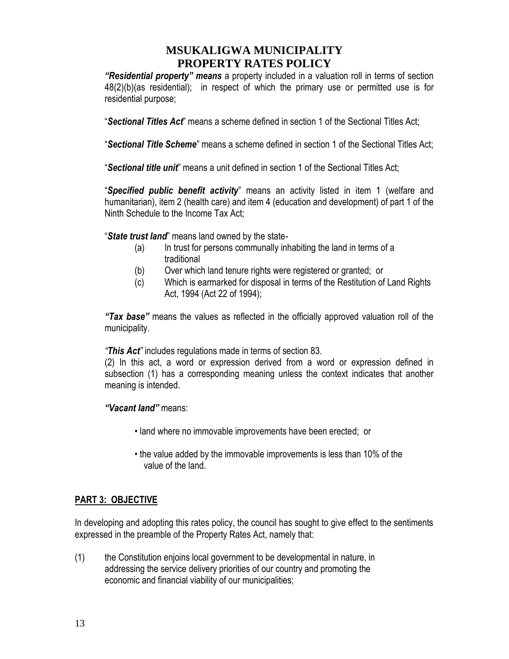*"Residential property" means* a property included in a valuation roll in terms of section 48(2)(b)(as residential); in respect of which the primary use or permitted use is for residential purpose;

"*Sectional Titles Act*" means a scheme defined in section 1 of the Sectional Titles Act;

"*Sectional Title Scheme*" means a scheme defined in section 1 of the Sectional Titles Act;

"*Sectional title unit*" means a unit defined in section 1 of the Sectional Titles Act;

"*Specified public benefit activity*" means an activity listed in item 1 (welfare and humanitarian), item 2 (health care) and item 4 (education and development) of part 1 of the Ninth Schedule to the Income Tax Act;

"*State trust land*" means land owned by the state-

- (a) In trust for persons communally inhabiting the land in terms of a traditional
- (b) Over which land tenure rights were registered or granted; or
- (c) Which is earmarked for disposal in terms of the Restitution of Land Rights Act, 1994 (Act 22 of 1994);

*"Tax base"* means the values as reflected in the officially approved valuation roll of the municipality.

*"This Act"* includes regulations made in terms of section 83.

(2) In this act, a word or expression derived from a word or expression defined in subsection (1) has a corresponding meaning unless the context indicates that another meaning is intended.

#### *"Vacant land"* means:

- land where no immovable improvements have been erected; or
- the value added by the immovable improvements is less than 10% of the value of the land.

#### **PART 3: OBJECTIVE**

In developing and adopting this rates policy, the council has sought to give effect to the sentiments expressed in the preamble of the Property Rates Act, namely that:

(1) the Constitution enjoins local government to be developmental in nature, in addressing the service delivery priorities of our country and promoting the economic and financial viability of our municipalities;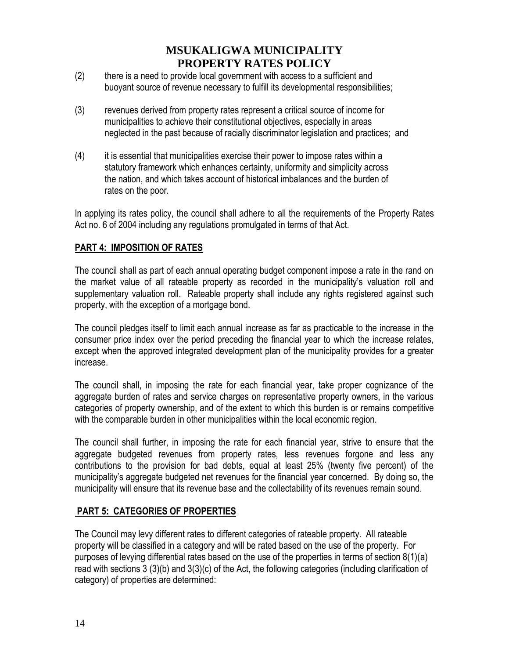- (2) there is a need to provide local government with access to a sufficient and buoyant source of revenue necessary to fulfill its developmental responsibilities;
- (3) revenues derived from property rates represent a critical source of income for municipalities to achieve their constitutional objectives, especially in areas neglected in the past because of racially discriminator legislation and practices; and
- (4) it is essential that municipalities exercise their power to impose rates within a statutory framework which enhances certainty, uniformity and simplicity across the nation, and which takes account of historical imbalances and the burden of rates on the poor.

In applying its rates policy, the council shall adhere to all the requirements of the Property Rates Act no. 6 of 2004 including any regulations promulgated in terms of that Act.

### **PART 4: IMPOSITION OF RATES**

The council shall as part of each annual operating budget component impose a rate in the rand on the market value of all rateable property as recorded in the municipality's valuation roll and supplementary valuation roll. Rateable property shall include any rights registered against such property, with the exception of a mortgage bond.

The council pledges itself to limit each annual increase as far as practicable to the increase in the consumer price index over the period preceding the financial year to which the increase relates, except when the approved integrated development plan of the municipality provides for a greater increase.

The council shall, in imposing the rate for each financial year, take proper cognizance of the aggregate burden of rates and service charges on representative property owners, in the various categories of property ownership, and of the extent to which this burden is or remains competitive with the comparable burden in other municipalities within the local economic region.

The council shall further, in imposing the rate for each financial year, strive to ensure that the aggregate budgeted revenues from property rates, less revenues forgone and less any contributions to the provision for bad debts, equal at least 25% (twenty five percent) of the municipality's aggregate budgeted net revenues for the financial year concerned. By doing so, the municipality will ensure that its revenue base and the collectability of its revenues remain sound.

### **PART 5: CATEGORIES OF PROPERTIES**

The Council may levy different rates to different categories of rateable property. All rateable property will be classified in a category and will be rated based on the use of the property. For purposes of levying differential rates based on the use of the properties in terms of section 8(1)(a) read with sections 3 (3)(b) and 3(3)(c) of the Act, the following categories (including clarification of category) of properties are determined: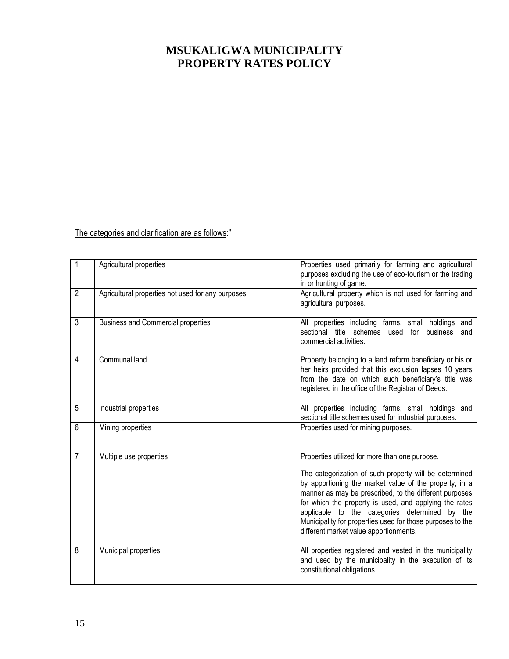The categories and clarification are as follows:"

| $\mathbf{1}$   | Agricultural properties                           | Properties used primarily for farming and agricultural<br>purposes excluding the use of eco-tourism or the trading<br>in or hunting of game.                                                                                                                                                                                                                                                                                                     |
|----------------|---------------------------------------------------|--------------------------------------------------------------------------------------------------------------------------------------------------------------------------------------------------------------------------------------------------------------------------------------------------------------------------------------------------------------------------------------------------------------------------------------------------|
| $\overline{2}$ | Agricultural properties not used for any purposes | Agricultural property which is not used for farming and<br>agricultural purposes.                                                                                                                                                                                                                                                                                                                                                                |
| $\overline{3}$ | <b>Business and Commercial properties</b>         | All properties including farms, small holdings and<br>sectional title schemes used for business<br>and<br>commercial activities.                                                                                                                                                                                                                                                                                                                 |
| 4              | Communal land                                     | Property belonging to a land reform beneficiary or his or<br>her heirs provided that this exclusion lapses 10 years<br>from the date on which such beneficiary's title was<br>registered in the office of the Registrar of Deeds.                                                                                                                                                                                                                |
| 5              | Industrial properties                             | All properties including farms, small holdings and<br>sectional title schemes used for industrial purposes.                                                                                                                                                                                                                                                                                                                                      |
| 6              | Mining properties                                 | Properties used for mining purposes.                                                                                                                                                                                                                                                                                                                                                                                                             |
| $\overline{7}$ | Multiple use properties                           | Properties utilized for more than one purpose.<br>The categorization of such property will be determined<br>by apportioning the market value of the property, in a<br>manner as may be prescribed, to the different purposes<br>for which the property is used, and applying the rates<br>applicable to the categories determined by the<br>Municipality for properties used for those purposes to the<br>different market value apportionments. |
| 8              | Municipal properties                              | All properties registered and vested in the municipality<br>and used by the municipality in the execution of its<br>constitutional obligations.                                                                                                                                                                                                                                                                                                  |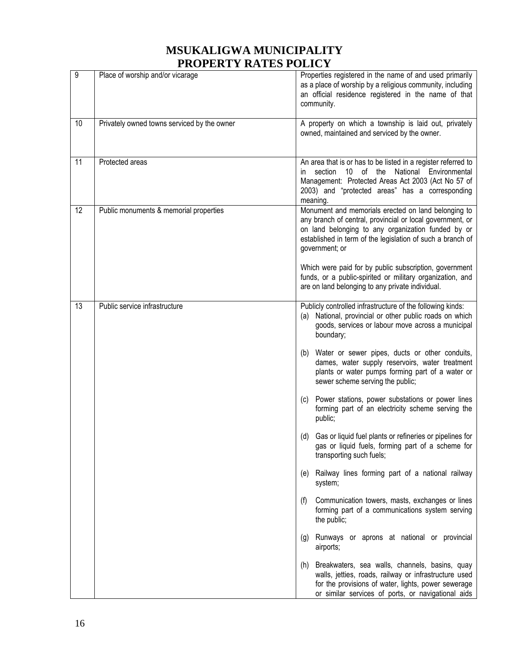| 9  | Place of worship and/or vicarage            | Properties registered in the name of and used primarily<br>as a place of worship by a religious community, including<br>an official residence registered in the name of that<br>community.                                                                                                                                                                                                                                                                                                                                                                                                                                                                                                                                                                                                                                                                                                                                                                                                                                                                                                                                                                                  |
|----|---------------------------------------------|-----------------------------------------------------------------------------------------------------------------------------------------------------------------------------------------------------------------------------------------------------------------------------------------------------------------------------------------------------------------------------------------------------------------------------------------------------------------------------------------------------------------------------------------------------------------------------------------------------------------------------------------------------------------------------------------------------------------------------------------------------------------------------------------------------------------------------------------------------------------------------------------------------------------------------------------------------------------------------------------------------------------------------------------------------------------------------------------------------------------------------------------------------------------------------|
| 10 | Privately owned towns serviced by the owner | A property on which a township is laid out, privately<br>owned, maintained and serviced by the owner.                                                                                                                                                                                                                                                                                                                                                                                                                                                                                                                                                                                                                                                                                                                                                                                                                                                                                                                                                                                                                                                                       |
| 11 | Protected areas                             | An area that is or has to be listed in a register referred to<br>10<br>of the National<br>Environmental<br>section<br>in.<br>Management: Protected Areas Act 2003 (Act No 57 of<br>2003) and "protected areas" has a corresponding<br>meaning.                                                                                                                                                                                                                                                                                                                                                                                                                                                                                                                                                                                                                                                                                                                                                                                                                                                                                                                              |
| 12 | Public monuments & memorial properties      | Monument and memorials erected on land belonging to<br>any branch of central, provincial or local government, or<br>on land belonging to any organization funded by or<br>established in term of the legislation of such a branch of<br>government; or<br>Which were paid for by public subscription, government<br>funds, or a public-spirited or military organization, and<br>are on land belonging to any private individual.                                                                                                                                                                                                                                                                                                                                                                                                                                                                                                                                                                                                                                                                                                                                           |
| 13 | Public service infrastructure               | Publicly controlled infrastructure of the following kinds:<br>National, provincial or other public roads on which<br>(a)<br>goods, services or labour move across a municipal<br>boundary;<br>(b) Water or sewer pipes, ducts or other conduits,<br>dames, water supply reservoirs, water treatment<br>plants or water pumps forming part of a water or<br>sewer scheme serving the public;<br>Power stations, power substations or power lines<br>(c)<br>forming part of an electricity scheme serving the<br>public;<br>Gas or liquid fuel plants or refineries or pipelines for<br>(d)<br>gas or liquid fuels, forming part of a scheme for<br>transporting such fuels;<br>Railway lines forming part of a national railway<br>(e)<br>system;<br>Communication towers, masts, exchanges or lines<br>(f)<br>forming part of a communications system serving<br>the public;<br>Runways or aprons at national or provincial<br>(g)<br>airports;<br>(h) Breakwaters, sea walls, channels, basins, quay<br>walls, jetties, roads, railway or infrastructure used<br>for the provisions of water, lights, power sewerage<br>or similar services of ports, or navigational aids |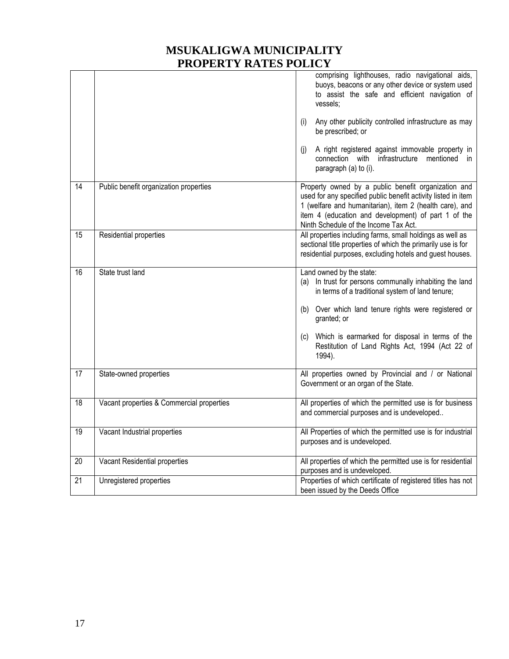|                 |                                           | comprising lighthouses, radio navigational aids,<br>buoys, beacons or any other device or system used<br>to assist the safe and efficient navigation of<br>vessels:<br>Any other publicity controlled infrastructure as may<br>(i)<br>be prescribed; or<br>A right registered against immovable property in<br>(j)<br>connection with infrastructure mentioned<br>- in<br>paragraph (a) to (i). |
|-----------------|-------------------------------------------|-------------------------------------------------------------------------------------------------------------------------------------------------------------------------------------------------------------------------------------------------------------------------------------------------------------------------------------------------------------------------------------------------|
| 14              | Public benefit organization properties    | Property owned by a public benefit organization and<br>used for any specified public benefit activity listed in item<br>1 (welfare and humanitarian), item 2 (health care), and<br>item 4 (education and development) of part 1 of the<br>Ninth Schedule of the Income Tax Act.                                                                                                                 |
| 15              | Residential properties                    | All properties including farms, small holdings as well as<br>sectional title properties of which the primarily use is for<br>residential purposes, excluding hotels and guest houses.                                                                                                                                                                                                           |
| 16              | State trust land                          | Land owned by the state:<br>(a) In trust for persons communally inhabiting the land<br>in terms of a traditional system of land tenure;<br>(b) Over which land tenure rights were registered or<br>granted; or<br>Which is earmarked for disposal in terms of the<br>(C)<br>Restitution of Land Rights Act, 1994 (Act 22 of<br>1994).                                                           |
| $\overline{17}$ | State-owned properties                    | All properties owned by Provincial and / or National<br>Government or an organ of the State.                                                                                                                                                                                                                                                                                                    |
| $\overline{18}$ | Vacant properties & Commercial properties | All properties of which the permitted use is for business<br>and commercial purposes and is undeveloped                                                                                                                                                                                                                                                                                         |
| 19              | Vacant Industrial properties              | All Properties of which the permitted use is for industrial<br>purposes and is undeveloped.                                                                                                                                                                                                                                                                                                     |
| 20              | Vacant Residential properties             | All properties of which the permitted use is for residential<br>purposes and is undeveloped.                                                                                                                                                                                                                                                                                                    |
| 21              | Unregistered properties                   | Properties of which certificate of registered titles has not<br>been issued by the Deeds Office                                                                                                                                                                                                                                                                                                 |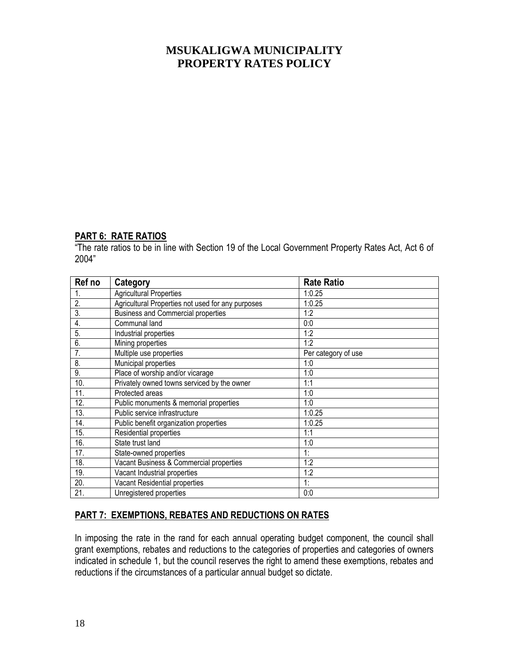#### **PART 6: RATE RATIOS**

"The rate ratios to be in line with Section 19 of the Local Government Property Rates Act, Act 6 of 2004"

| Ref no           | Category                                          | <b>Rate Ratio</b>   |
|------------------|---------------------------------------------------|---------------------|
| 1.               | <b>Agricultural Properties</b>                    | 1:0.25              |
| 2.               | Agricultural Properties not used for any purposes | 1:0.25              |
| 3.               | <b>Business and Commercial properties</b>         | 1:2                 |
| $\overline{4}$ . | Communal land                                     | 0:0                 |
| 5.               | Industrial properties                             | 1:2                 |
| 6.               | Mining properties                                 | 1:2                 |
| 7.               | Multiple use properties                           | Per category of use |
| 8.               | Municipal properties                              | 1:0                 |
| 9.               | Place of worship and/or vicarage                  | 1:0                 |
| 10.              | Privately owned towns serviced by the owner       | 1:1                 |
| 11.              | Protected areas                                   | 1:0                 |
| 12.              | Public monuments & memorial properties            | 1:0                 |
| 13.              | Public service infrastructure                     | 1:0.25              |
| 14.              | Public benefit organization properties            | 1:0.25              |
| 15.              | Residential properties                            | 1:1                 |
| 16.              | State trust land                                  | 1:0                 |
| 17.              | State-owned properties                            | 1:                  |
| 18.              | Vacant Business & Commercial properties           | 1:2                 |
| 19.              | Vacant Industrial properties                      | 1:2                 |
| 20.              | Vacant Residential properties                     | 1:                  |
| 21.              | Unregistered properties                           | 0:0                 |

#### **PART 7: EXEMPTIONS, REBATES AND REDUCTIONS ON RATES**

In imposing the rate in the rand for each annual operating budget component, the council shall grant exemptions, rebates and reductions to the categories of properties and categories of owners indicated in schedule 1, but the council reserves the right to amend these exemptions, rebates and reductions if the circumstances of a particular annual budget so dictate.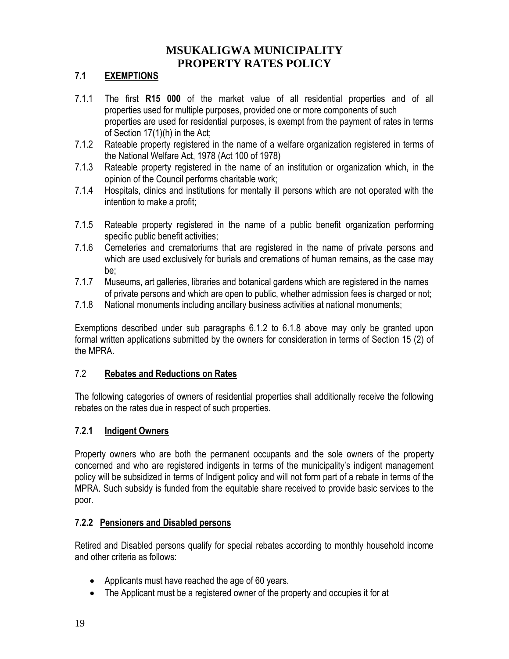### **7.1 EXEMPTIONS**

- 7.1.1 The first **R15 000** of the market value of all residential properties and of all properties used for multiple purposes, provided one or more components of such properties are used for residential purposes, is exempt from the payment of rates in terms of Section 17(1)(h) in the Act;
- 7.1.2 Rateable property registered in the name of a welfare organization registered in terms of the National Welfare Act, 1978 (Act 100 of 1978)
- 7.1.3 Rateable property registered in the name of an institution or organization which, in the opinion of the Council performs charitable work;
- 7.1.4 Hospitals, clinics and institutions for mentally ill persons which are not operated with the intention to make a profit;
- 7.1.5 Rateable property registered in the name of a public benefit organization performing specific public benefit activities;
- 7.1.6 Cemeteries and crematoriums that are registered in the name of private persons and which are used exclusively for burials and cremations of human remains, as the case may be;
- 7.1.7 Museums, art galleries, libraries and botanical gardens which are registered in the names of private persons and which are open to public, whether admission fees is charged or not;
- 7.1.8 National monuments including ancillary business activities at national monuments;

Exemptions described under sub paragraphs 6.1.2 to 6.1.8 above may only be granted upon formal written applications submitted by the owners for consideration in terms of Section 15 (2) of the MPRA.

#### 7.2 **Rebates and Reductions on Rates**

The following categories of owners of residential properties shall additionally receive the following rebates on the rates due in respect of such properties.

#### **7.2.1 Indigent Owners**

Property owners who are both the permanent occupants and the sole owners of the property concerned and who are registered indigents in terms of the municipality's indigent management policy will be subsidized in terms of Indigent policy and will not form part of a rebate in terms of the MPRA. Such subsidy is funded from the equitable share received to provide basic services to the poor.

#### **7.2.2 Pensioners and Disabled persons**

Retired and Disabled persons qualify for special rebates according to monthly household income and other criteria as follows:

- Applicants must have reached the age of 60 years.
- The Applicant must be a registered owner of the property and occupies it for at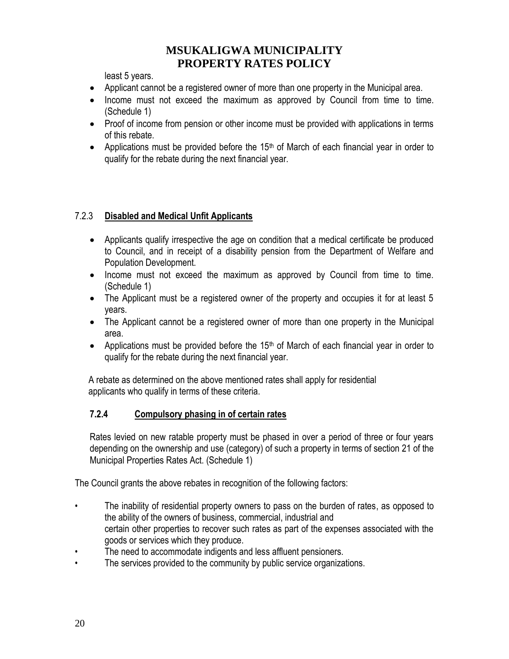least 5 years.

- Applicant cannot be a registered owner of more than one property in the Municipal area.
- Income must not exceed the maximum as approved by Council from time to time. (Schedule 1)
- Proof of income from pension or other income must be provided with applications in terms of this rebate.
- Applications must be provided before the  $15<sup>th</sup>$  of March of each financial year in order to qualify for the rebate during the next financial year.

### 7.2.3 **Disabled and Medical Unfit Applicants**

- Applicants qualify irrespective the age on condition that a medical certificate be produced to Council, and in receipt of a disability pension from the Department of Welfare and Population Development.
- Income must not exceed the maximum as approved by Council from time to time. (Schedule 1)
- The Applicant must be a registered owner of the property and occupies it for at least 5 years.
- The Applicant cannot be a registered owner of more than one property in the Municipal area.
- Applications must be provided before the  $15<sup>th</sup>$  of March of each financial year in order to qualify for the rebate during the next financial year.

 A rebate as determined on the above mentioned rates shall apply for residential applicants who qualify in terms of these criteria.

### **7.2.4 Compulsory phasing in of certain rates**

Rates levied on new ratable property must be phased in over a period of three or four years depending on the ownership and use (category) of such a property in terms of section 21 of the Municipal Properties Rates Act. (Schedule 1)

The Council grants the above rebates in recognition of the following factors:

- The inability of residential property owners to pass on the burden of rates, as opposed to the ability of the owners of business, commercial, industrial and certain other properties to recover such rates as part of the expenses associated with the goods or services which they produce.
- The need to accommodate indigents and less affluent pensioners.
- The services provided to the community by public service organizations.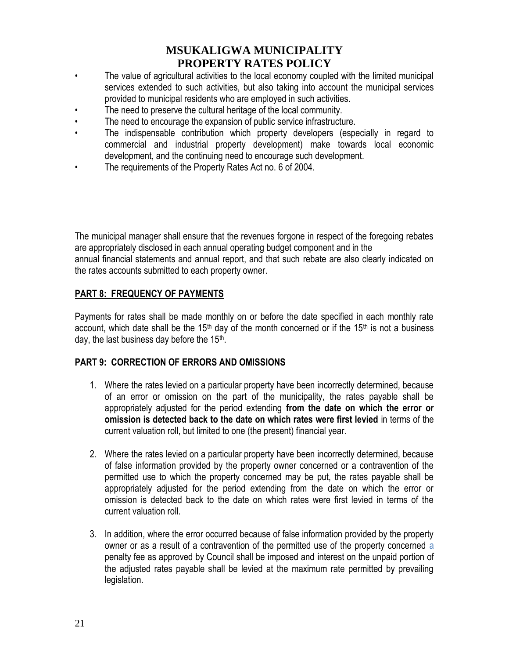- The value of agricultural activities to the local economy coupled with the limited municipal services extended to such activities, but also taking into account the municipal services provided to municipal residents who are employed in such activities.
- The need to preserve the cultural heritage of the local community.
- The need to encourage the expansion of public service infrastructure.
- The indispensable contribution which property developers (especially in regard to commercial and industrial property development) make towards local economic development, and the continuing need to encourage such development.
- The requirements of the Property Rates Act no. 6 of 2004.

The municipal manager shall ensure that the revenues forgone in respect of the foregoing rebates are appropriately disclosed in each annual operating budget component and in the annual financial statements and annual report, and that such rebate are also clearly indicated on the rates accounts submitted to each property owner.

#### **PART 8: FREQUENCY OF PAYMENTS**

Payments for rates shall be made monthly on or before the date specified in each monthly rate account, which date shall be the 15<sup>th</sup> day of the month concerned or if the 15<sup>th</sup> is not a business day, the last business day before the 15<sup>th</sup>.

#### **PART 9: CORRECTION OF ERRORS AND OMISSIONS**

- 1. Where the rates levied on a particular property have been incorrectly determined, because of an error or omission on the part of the municipality, the rates payable shall be appropriately adjusted for the period extending **from the date on which the error or omission is detected back to the date on which rates were first levied** in terms of the current valuation roll, but limited to one (the present) financial year.
- 2. Where the rates levied on a particular property have been incorrectly determined, because of false information provided by the property owner concerned or a contravention of the permitted use to which the property concerned may be put, the rates payable shall be appropriately adjusted for the period extending from the date on which the error or omission is detected back to the date on which rates were first levied in terms of the current valuation roll.
- 3. In addition, where the error occurred because of false information provided by the property owner or as a result of a contravention of the permitted use of the property concerned a penalty fee as approved by Council shall be imposed and interest on the unpaid portion of the adjusted rates payable shall be levied at the maximum rate permitted by prevailing legislation.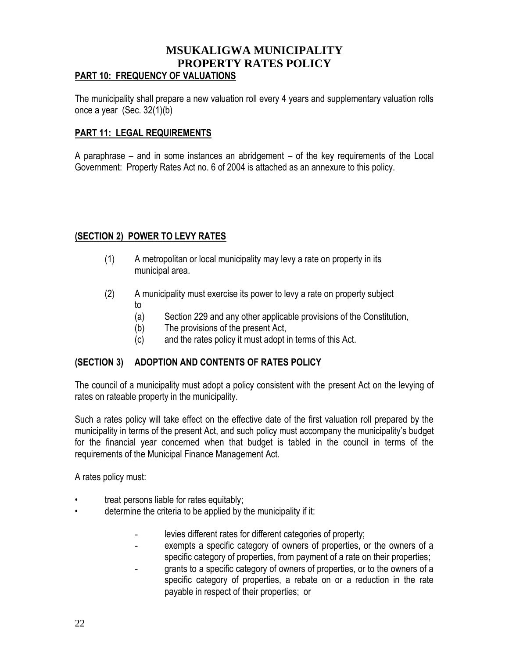### **MSUKALIGWA MUNICIPALITY PROPERTY RATES POLICY PART 10: FREQUENCY OF VALUATIONS**

The municipality shall prepare a new valuation roll every 4 years and supplementary valuation rolls once a year (Sec. 32(1)(b)

#### **PART 11: LEGAL REQUIREMENTS**

A paraphrase – and in some instances an abridgement – of the key requirements of the Local Government: Property Rates Act no. 6 of 2004 is attached as an annexure to this policy.

### **(SECTION 2) POWER TO LEVY RATES**

- (1) A metropolitan or local municipality may levy a rate on property in its municipal area.
- (2) A municipality must exercise its power to levy a rate on property subject to
	- (a) Section 229 and any other applicable provisions of the Constitution,
	- (b) The provisions of the present Act,
	- (c) and the rates policy it must adopt in terms of this Act.

#### **(SECTION 3) ADOPTION AND CONTENTS OF RATES POLICY**

The council of a municipality must adopt a policy consistent with the present Act on the levying of rates on rateable property in the municipality.

Such a rates policy will take effect on the effective date of the first valuation roll prepared by the municipality in terms of the present Act, and such policy must accompany the municipality's budget for the financial year concerned when that budget is tabled in the council in terms of the requirements of the Municipal Finance Management Act.

A rates policy must:

- treat persons liable for rates equitably;
- determine the criteria to be applied by the municipality if it:
	- levies different rates for different categories of property;
	- exempts a specific category of owners of properties, or the owners of a specific category of properties, from payment of a rate on their properties;
	- grants to a specific category of owners of properties, or to the owners of a specific category of properties, a rebate on or a reduction in the rate payable in respect of their properties; or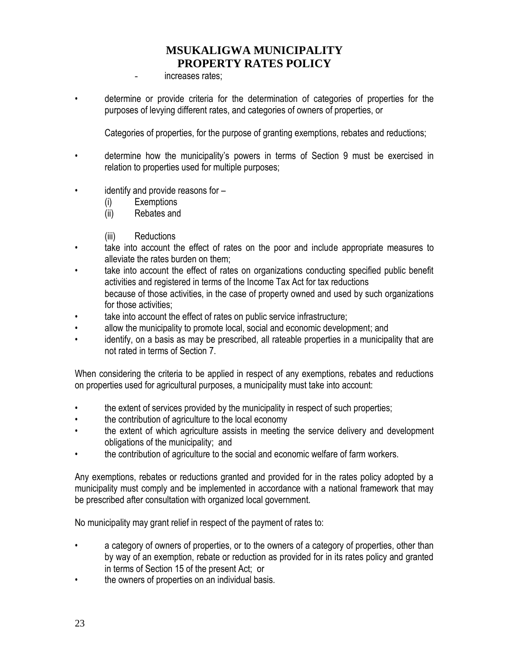- increases rates;

• determine or provide criteria for the determination of categories of properties for the purposes of levying different rates, and categories of owners of properties, or

Categories of properties, for the purpose of granting exemptions, rebates and reductions;

- determine how the municipality's powers in terms of Section 9 must be exercised in relation to properties used for multiple purposes;
- identify and provide reasons for
	- (i) Exemptions
	- (ii) Rebates and
	- (iii) Reductions
- take into account the effect of rates on the poor and include appropriate measures to alleviate the rates burden on them;
- take into account the effect of rates on organizations conducting specified public benefit activities and registered in terms of the Income Tax Act for tax reductions because of those activities, in the case of property owned and used by such organizations for those activities;
- take into account the effect of rates on public service infrastructure;
- allow the municipality to promote local, social and economic development; and
- identify, on a basis as may be prescribed, all rateable properties in a municipality that are not rated in terms of Section 7.

When considering the criteria to be applied in respect of any exemptions, rebates and reductions on properties used for agricultural purposes, a municipality must take into account:

- the extent of services provided by the municipality in respect of such properties;
- the contribution of agriculture to the local economy
- the extent of which agriculture assists in meeting the service delivery and development obligations of the municipality; and
- the contribution of agriculture to the social and economic welfare of farm workers.

Any exemptions, rebates or reductions granted and provided for in the rates policy adopted by a municipality must comply and be implemented in accordance with a national framework that may be prescribed after consultation with organized local government.

No municipality may grant relief in respect of the payment of rates to:

- a category of owners of properties, or to the owners of a category of properties, other than by way of an exemption, rebate or reduction as provided for in its rates policy and granted in terms of Section 15 of the present Act; or
- the owners of properties on an individual basis.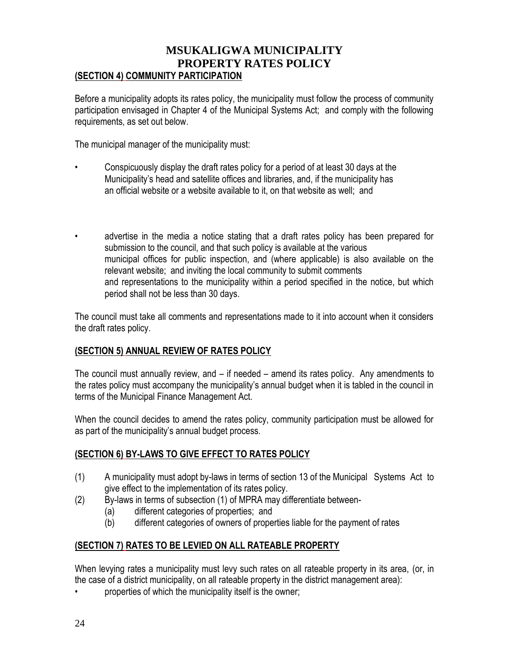### **MSUKALIGWA MUNICIPALITY PROPERTY RATES POLICY (SECTION 4) COMMUNITY PARTICIPATION**

Before a municipality adopts its rates policy, the municipality must follow the process of community participation envisaged in Chapter 4 of the Municipal Systems Act; and comply with the following requirements, as set out below.

The municipal manager of the municipality must:

- Conspicuously display the draft rates policy for a period of at least 30 days at the Municipality's head and satellite offices and libraries, and, if the municipality has an official website or a website available to it, on that website as well; and
- advertise in the media a notice stating that a draft rates policy has been prepared for submission to the council, and that such policy is available at the various municipal offices for public inspection, and (where applicable) is also available on the relevant website; and inviting the local community to submit comments and representations to the municipality within a period specified in the notice, but which period shall not be less than 30 days.

The council must take all comments and representations made to it into account when it considers the draft rates policy.

#### **(SECTION 5) ANNUAL REVIEW OF RATES POLICY**

The council must annually review, and – if needed – amend its rates policy. Any amendments to the rates policy must accompany the municipality's annual budget when it is tabled in the council in terms of the Municipal Finance Management Act.

When the council decides to amend the rates policy, community participation must be allowed for as part of the municipality's annual budget process.

#### **(SECTION 6) BY-LAWS TO GIVE EFFECT TO RATES POLICY**

- (1) A municipality must adopt by-laws in terms of section 13 of the Municipal Systems Act to give effect to the implementation of its rates policy.
- (2) By-laws in terms of subsection (1) of MPRA may differentiate between-
	- (a) different categories of properties; and
	- (b) different categories of owners of properties liable for the payment of rates

### **(SECTION 7) RATES TO BE LEVIED ON ALL RATEABLE PROPERTY**

When levying rates a municipality must levy such rates on all rateable property in its area, (or, in the case of a district municipality, on all rateable property in the district management area):

properties of which the municipality itself is the owner;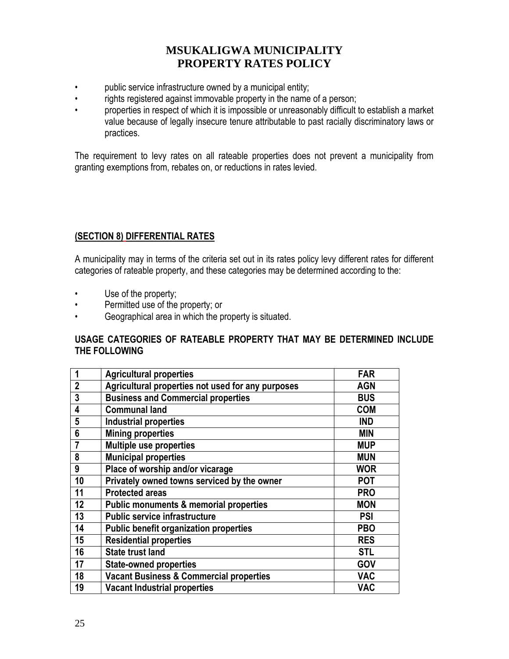- public service infrastructure owned by a municipal entity;
- rights registered against immovable property in the name of a person;
- properties in respect of which it is impossible or unreasonably difficult to establish a market value because of legally insecure tenure attributable to past racially discriminatory laws or practices.

The requirement to levy rates on all rateable properties does not prevent a municipality from granting exemptions from, rebates on, or reductions in rates levied.

### **(SECTION 8) DIFFERENTIAL RATES**

A municipality may in terms of the criteria set out in its rates policy levy different rates for different categories of rateable property, and these categories may be determined according to the:

- Use of the property;
- Permitted use of the property; or
- Geographical area in which the property is situated.

#### **USAGE CATEGORIES OF RATEABLE PROPERTY THAT MAY BE DETERMINED INCLUDE THE FOLLOWING**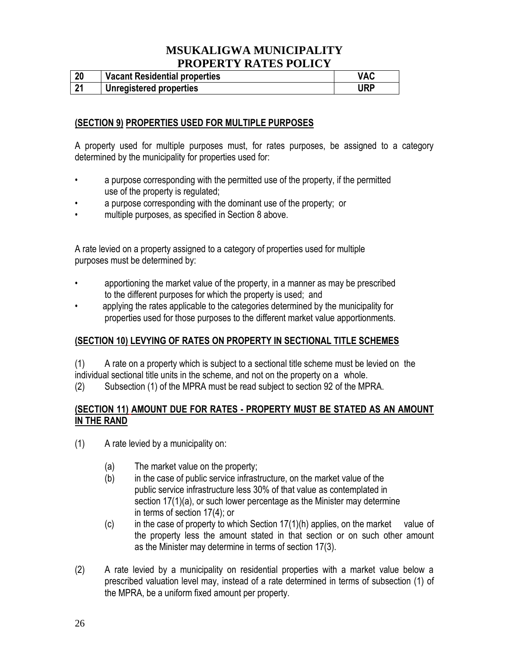| 20  | <b>Vacant Residential properties</b> | VAC |
|-----|--------------------------------------|-----|
| ີາ4 | <b>Unregistered properties</b>       | URP |

### **(SECTION 9) PROPERTIES USED FOR MULTIPLE PURPOSES**

A property used for multiple purposes must, for rates purposes, be assigned to a category determined by the municipality for properties used for:

- a purpose corresponding with the permitted use of the property, if the permitted use of the property is regulated;
- a purpose corresponding with the dominant use of the property; or
- multiple purposes, as specified in Section 8 above.

A rate levied on a property assigned to a category of properties used for multiple purposes must be determined by:

- apportioning the market value of the property, in a manner as may be prescribed to the different purposes for which the property is used; and
- applying the rates applicable to the categories determined by the municipality for properties used for those purposes to the different market value apportionments.

#### **(SECTION 10) LEVYING OF RATES ON PROPERTY IN SECTIONAL TITLE SCHEMES**

(1) A rate on a property which is subject to a sectional title scheme must be levied on the individual sectional title units in the scheme, and not on the property on a whole.

(2) Subsection (1) of the MPRA must be read subject to section 92 of the MPRA.

### **(SECTION 11) AMOUNT DUE FOR RATES - PROPERTY MUST BE STATED AS AN AMOUNT IN THE RAND**

- (1) A rate levied by a municipality on:
	- (a) The market value on the property;
	- (b) in the case of public service infrastructure, on the market value of the public service infrastructure less 30% of that value as contemplated in section 17(1)(a), or such lower percentage as the Minister may determine in terms of section 17(4); or
	- $(c)$  in the case of property to which Section 17(1)(h) applies, on the market value of the property less the amount stated in that section or on such other amount as the Minister may determine in terms of section 17(3).
- (2) A rate levied by a municipality on residential properties with a market value below a prescribed valuation level may, instead of a rate determined in terms of subsection (1) of the MPRA, be a uniform fixed amount per property.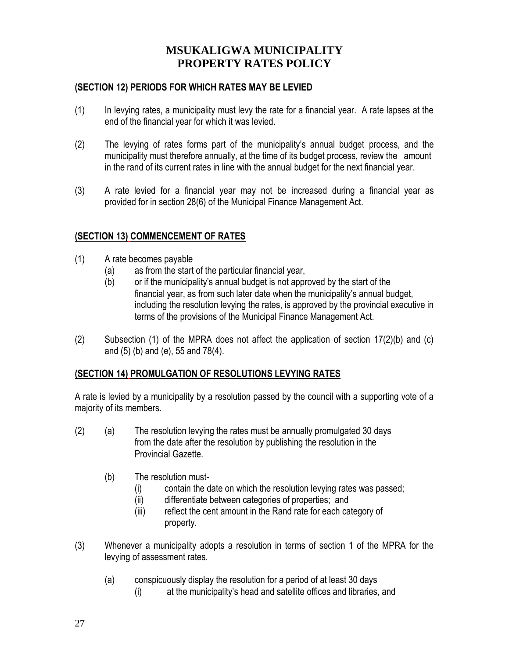#### **(SECTION 12) PERIODS FOR WHICH RATES MAY BE LEVIED**

- (1) In levying rates, a municipality must levy the rate for a financial year. A rate lapses at the end of the financial year for which it was levied.
- (2) The levying of rates forms part of the municipality's annual budget process, and the municipality must therefore annually, at the time of its budget process, review the amount in the rand of its current rates in line with the annual budget for the next financial year.
- (3) A rate levied for a financial year may not be increased during a financial year as provided for in section 28(6) of the Municipal Finance Management Act.

#### **(SECTION 13) COMMENCEMENT OF RATES**

- (1) A rate becomes payable
	- (a) as from the start of the particular financial year,
	- (b) or if the municipality's annual budget is not approved by the start of the financial year, as from such later date when the municipality's annual budget, including the resolution levying the rates, is approved by the provincial executive in terms of the provisions of the Municipal Finance Management Act.
- (2) Subsection (1) of the MPRA does not affect the application of section 17(2)(b) and (c) and (5) (b) and (e), 55 and 78(4).

#### **(SECTION 14) PROMULGATION OF RESOLUTIONS LEVYING RATES**

A rate is levied by a municipality by a resolution passed by the council with a supporting vote of a majority of its members.

- (2) (a) The resolution levying the rates must be annually promulgated 30 days from the date after the resolution by publishing the resolution in the Provincial Gazette.
	- (b) The resolution must-
		- (i) contain the date on which the resolution levying rates was passed;
		- (ii) differentiate between categories of properties; and
		- (iii) reflect the cent amount in the Rand rate for each category of property.
- (3) Whenever a municipality adopts a resolution in terms of section 1 of the MPRA for the levying of assessment rates.
	- (a) conspicuously display the resolution for a period of at least 30 days
		- (i) at the municipality's head and satellite offices and libraries, and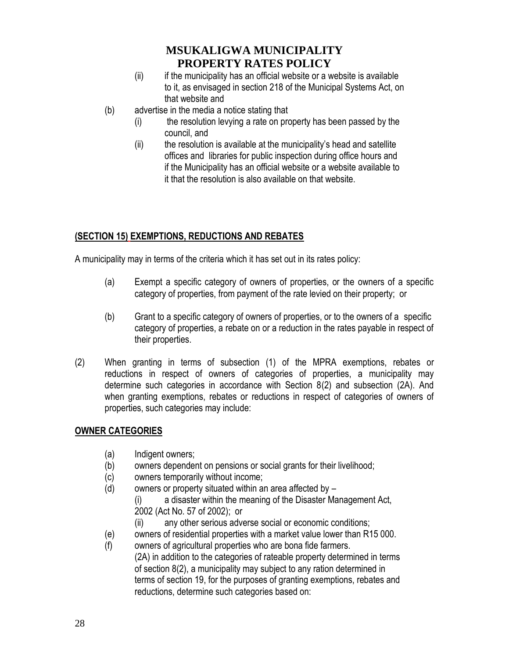- (ii) if the municipality has an official website or a website is available to it, as envisaged in section 218 of the Municipal Systems Act, on that website and
- (b) advertise in the media a notice stating that
	- (i) the resolution levying a rate on property has been passed by the council, and
	- (ii) the resolution is available at the municipality's head and satellite offices and libraries for public inspection during office hours and if the Municipality has an official website or a website available to it that the resolution is also available on that website.

### **(SECTION 15) EXEMPTIONS, REDUCTIONS AND REBATES**

A municipality may in terms of the criteria which it has set out in its rates policy:

- (a) Exempt a specific category of owners of properties, or the owners of a specific category of properties, from payment of the rate levied on their property; or
- (b) Grant to a specific category of owners of properties, or to the owners of a specific category of properties, a rebate on or a reduction in the rates payable in respect of their properties.
- (2) When granting in terms of subsection (1) of the MPRA exemptions, rebates or reductions in respect of owners of categories of properties, a municipality may determine such categories in accordance with Section 8(2) and subsection (2A). And when granting exemptions, rebates or reductions in respect of categories of owners of properties, such categories may include:

### **OWNER CATEGORIES**

- (a) Indigent owners;
- (b) owners dependent on pensions or social grants for their livelihood;
- (c) owners temporarily without income;
- (d) owners or property situated within an area affected by  $-$ 
	- (i) a disaster within the meaning of the Disaster Management Act, 2002 (Act No. 57 of 2002); or
	- (ii) any other serious adverse social or economic conditions;
- (e) owners of residential properties with a market value lower than R15 000.
- (f) owners of agricultural properties who are bona fide farmers. (2A) in addition to the categories of rateable property determined in terms of section 8(2), a municipality may subject to any ration determined in terms of section 19, for the purposes of granting exemptions, rebates and reductions, determine such categories based on: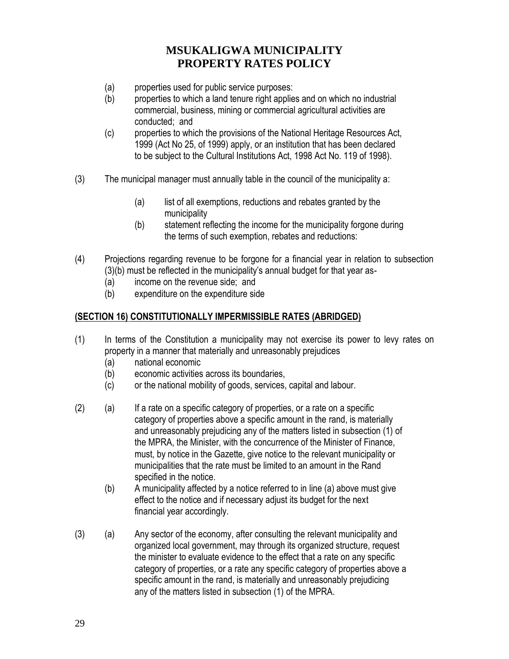- (a) properties used for public service purposes:
- (b) properties to which a land tenure right applies and on which no industrial commercial, business, mining or commercial agricultural activities are conducted; and
- (c) properties to which the provisions of the National Heritage Resources Act, 1999 (Act No 25, of 1999) apply, or an institution that has been declared to be subject to the Cultural Institutions Act, 1998 Act No. 119 of 1998).
- (3) The municipal manager must annually table in the council of the municipality a:
	- (a) list of all exemptions, reductions and rebates granted by the municipality
	- (b) statement reflecting the income for the municipality forgone during the terms of such exemption, rebates and reductions:
- (4) Projections regarding revenue to be forgone for a financial year in relation to subsection (3)(b) must be reflected in the municipality's annual budget for that year as-
	- (a) income on the revenue side; and
	- (b) expenditure on the expenditure side

#### **(SECTION 16) CONSTITUTIONALLY IMPERMISSIBLE RATES (ABRIDGED)**

- (1) In terms of the Constitution a municipality may not exercise its power to levy rates on property in a manner that materially and unreasonably prejudices
	- (a) national economic
	- (b) economic activities across its boundaries,
	- (c) or the national mobility of goods, services, capital and labour.
- (2) (a) If a rate on a specific category of properties, or a rate on a specific category of properties above a specific amount in the rand, is materially and unreasonably prejudicing any of the matters listed in subsection (1) of the MPRA, the Minister, with the concurrence of the Minister of Finance, must, by notice in the Gazette, give notice to the relevant municipality or municipalities that the rate must be limited to an amount in the Rand specified in the notice.
	- (b) A municipality affected by a notice referred to in line (a) above must give effect to the notice and if necessary adjust its budget for the next financial year accordingly.
- (3) (a) Any sector of the economy, after consulting the relevant municipality and organized local government, may through its organized structure, request the minister to evaluate evidence to the effect that a rate on any specific category of properties, or a rate any specific category of properties above a specific amount in the rand, is materially and unreasonably prejudicing any of the matters listed in subsection (1) of the MPRA.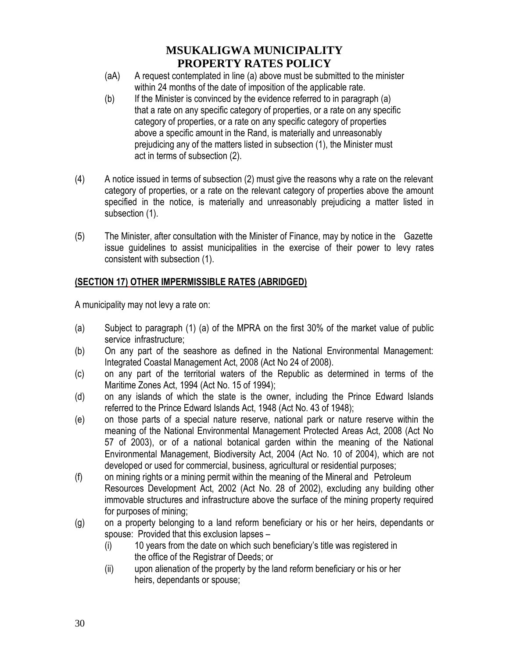- (aA) A request contemplated in line (a) above must be submitted to the minister within 24 months of the date of imposition of the applicable rate.
- (b) If the Minister is convinced by the evidence referred to in paragraph (a) that a rate on any specific category of properties, or a rate on any specific category of properties, or a rate on any specific category of properties above a specific amount in the Rand, is materially and unreasonably prejudicing any of the matters listed in subsection (1), the Minister must act in terms of subsection (2).
- (4) A notice issued in terms of subsection (2) must give the reasons why a rate on the relevant category of properties, or a rate on the relevant category of properties above the amount specified in the notice, is materially and unreasonably prejudicing a matter listed in subsection (1).
- (5) The Minister, after consultation with the Minister of Finance, may by notice in the Gazette issue guidelines to assist municipalities in the exercise of their power to levy rates consistent with subsection (1).

### **(SECTION 17) OTHER IMPERMISSIBLE RATES (ABRIDGED)**

A municipality may not levy a rate on:

- (a) Subject to paragraph (1) (a) of the MPRA on the first 30% of the market value of public service infrastructure;
- (b) On any part of the seashore as defined in the National Environmental Management: Integrated Coastal Management Act, 2008 (Act No 24 of 2008).
- (c) on any part of the territorial waters of the Republic as determined in terms of the Maritime Zones Act, 1994 (Act No. 15 of 1994);
- (d) on any islands of which the state is the owner, including the Prince Edward Islands referred to the Prince Edward Islands Act, 1948 (Act No. 43 of 1948);
- (e) on those parts of a special nature reserve, national park or nature reserve within the meaning of the National Environmental Management Protected Areas Act, 2008 (Act No 57 of 2003), or of a national botanical garden within the meaning of the National Environmental Management, Biodiversity Act, 2004 (Act No. 10 of 2004), which are not developed or used for commercial, business, agricultural or residential purposes;
- (f) on mining rights or a mining permit within the meaning of the Mineral and Petroleum Resources Development Act, 2002 (Act No. 28 of 2002), excluding any building other immovable structures and infrastructure above the surface of the mining property required for purposes of mining;
- (g) on a property belonging to a land reform beneficiary or his or her heirs, dependants or spouse: Provided that this exclusion lapses –
	- (i) 10 years from the date on which such beneficiary's title was registered in the office of the Registrar of Deeds; or
	- (ii) upon alienation of the property by the land reform beneficiary or his or her heirs, dependants or spouse;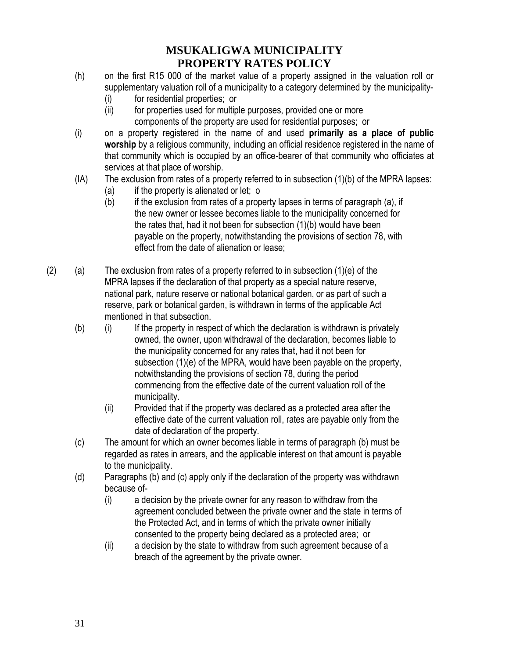- (h) on the first R15 000 of the market value of a property assigned in the valuation roll or supplementary valuation roll of a municipality to a category determined by the municipality-
	- (i) for residential properties; or
	- (ii) for properties used for multiple purposes, provided one or more components of the property are used for residential purposes; or
- (i) on a property registered in the name of and used **primarily as a place of public worship** by a religious community, including an official residence registered in the name of that community which is occupied by an office-bearer of that community who officiates at services at that place of worship.
- (IA) The exclusion from rates of a property referred to in subsection (1)(b) of the MPRA lapses:
	- (a) if the property is alienated or let; o
	- (b) if the exclusion from rates of a property lapses in terms of paragraph (a), if the new owner or lessee becomes liable to the municipality concerned for the rates that, had it not been for subsection (1)(b) would have been payable on the property, notwithstanding the provisions of section 78, with effect from the date of alienation or lease;
- $(2)$  (a) The exclusion from rates of a property referred to in subsection  $(1)(e)$  of the MPRA lapses if the declaration of that property as a special nature reserve, national park, nature reserve or national botanical garden, or as part of such a reserve, park or botanical garden, is withdrawn in terms of the applicable Act mentioned in that subsection.
	- (b) (i) If the property in respect of which the declaration is withdrawn is privately owned, the owner, upon withdrawal of the declaration, becomes liable to the municipality concerned for any rates that, had it not been for subsection (1)(e) of the MPRA, would have been payable on the property, notwithstanding the provisions of section 78, during the period commencing from the effective date of the current valuation roll of the municipality.
		- (ii) Provided that if the property was declared as a protected area after the effective date of the current valuation roll, rates are payable only from the date of declaration of the property.
	- (c) The amount for which an owner becomes liable in terms of paragraph (b) must be regarded as rates in arrears, and the applicable interest on that amount is payable to the municipality.
	- (d) Paragraphs (b) and (c) apply only if the declaration of the property was withdrawn because of-
		- (i) a decision by the private owner for any reason to withdraw from the agreement concluded between the private owner and the state in terms of the Protected Act, and in terms of which the private owner initially consented to the property being declared as a protected area; or
		- (ii) a decision by the state to withdraw from such agreement because of a breach of the agreement by the private owner.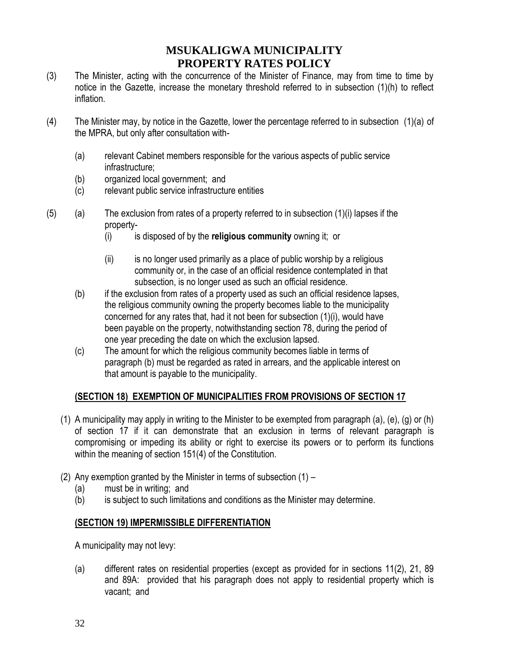- (3) The Minister, acting with the concurrence of the Minister of Finance, may from time to time by notice in the Gazette, increase the monetary threshold referred to in subsection (1)(h) to reflect inflation.
- (4) The Minister may, by notice in the Gazette, lower the percentage referred to in subsection (1)(a) of the MPRA, but only after consultation with-
	- (a) relevant Cabinet members responsible for the various aspects of public service infrastructure;
	- (b) organized local government; and
	- (c) relevant public service infrastructure entities
- $(5)$  (a) The exclusion from rates of a property referred to in subsection  $(1)(i)$  lapses if the property-
	- (i) is disposed of by the **religious community** owning it; or
	- (ii) is no longer used primarily as a place of public worship by a religious community or, in the case of an official residence contemplated in that subsection, is no longer used as such an official residence.
	- (b) if the exclusion from rates of a property used as such an official residence lapses, the religious community owning the property becomes liable to the municipality concerned for any rates that, had it not been for subsection (1)(i), would have been payable on the property, notwithstanding section 78, during the period of one year preceding the date on which the exclusion lapsed.
	- (c) The amount for which the religious community becomes liable in terms of paragraph (b) must be regarded as rated in arrears, and the applicable interest on that amount is payable to the municipality.

### **(SECTION 18) EXEMPTION OF MUNICIPALITIES FROM PROVISIONS OF SECTION 17**

- (1) A municipality may apply in writing to the Minister to be exempted from paragraph (a), (e), (g) or (h) of section 17 if it can demonstrate that an exclusion in terms of relevant paragraph is compromising or impeding its ability or right to exercise its powers or to perform its functions within the meaning of section 151(4) of the Constitution.
- (2) Any exemption granted by the Minister in terms of subsection (1)
	- (a) must be in writing; and
	- (b) is subject to such limitations and conditions as the Minister may determine.

#### **(SECTION 19) IMPERMISSIBLE DIFFERENTIATION**

A municipality may not levy:

(a) different rates on residential properties (except as provided for in sections 11(2), 21, 89 and 89A: provided that his paragraph does not apply to residential property which is vacant; and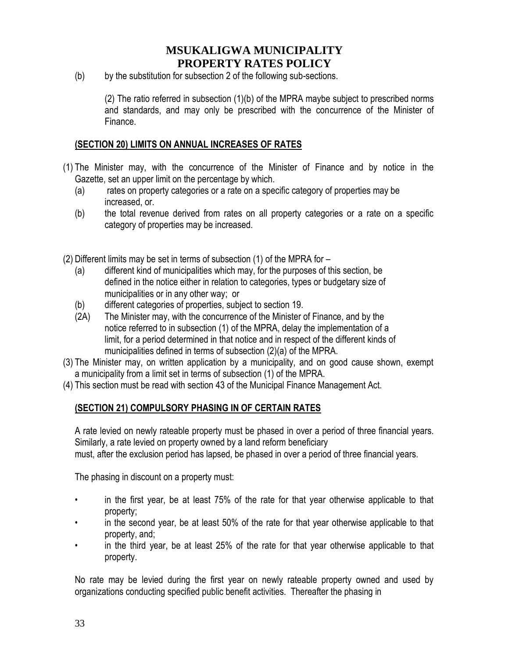(b) by the substitution for subsection 2 of the following sub-sections.

(2) The ratio referred in subsection (1)(b) of the MPRA maybe subject to prescribed norms and standards, and may only be prescribed with the concurrence of the Minister of Finance.

#### **(SECTION 20) LIMITS ON ANNUAL INCREASES OF RATES**

- (1) The Minister may, with the concurrence of the Minister of Finance and by notice in the Gazette, set an upper limit on the percentage by which.
	- (a) rates on property categories or a rate on a specific category of properties may be increased, or.
	- (b) the total revenue derived from rates on all property categories or a rate on a specific category of properties may be increased.

(2) Different limits may be set in terms of subsection (1) of the MPRA for –

- (a) different kind of municipalities which may, for the purposes of this section, be defined in the notice either in relation to categories, types or budgetary size of municipalities or in any other way; or
- (b) different categories of properties, subject to section 19.
- (2A) The Minister may, with the concurrence of the Minister of Finance, and by the notice referred to in subsection (1) of the MPRA, delay the implementation of a limit, for a period determined in that notice and in respect of the different kinds of municipalities defined in terms of subsection (2)(a) of the MPRA.
- (3) The Minister may, on written application by a municipality, and on good cause shown, exempt a municipality from a limit set in terms of subsection (1) of the MPRA.
- (4) This section must be read with section 43 of the Municipal Finance Management Act.

#### **(SECTION 21) COMPULSORY PHASING IN OF CERTAIN RATES**

A rate levied on newly rateable property must be phased in over a period of three financial years. Similarly, a rate levied on property owned by a land reform beneficiary must, after the exclusion period has lapsed, be phased in over a period of three financial years.

The phasing in discount on a property must:

- in the first year, be at least 75% of the rate for that year otherwise applicable to that property;
- in the second year, be at least 50% of the rate for that year otherwise applicable to that property, and;
- in the third year, be at least 25% of the rate for that year otherwise applicable to that property.

No rate may be levied during the first year on newly rateable property owned and used by organizations conducting specified public benefit activities. Thereafter the phasing in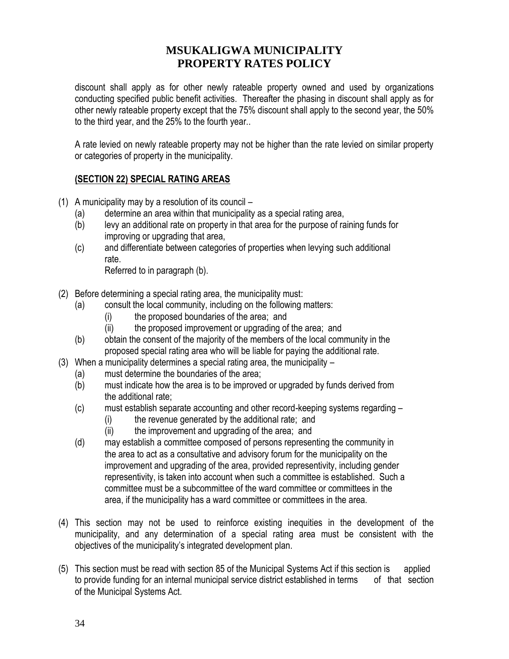discount shall apply as for other newly rateable property owned and used by organizations conducting specified public benefit activities. Thereafter the phasing in discount shall apply as for other newly rateable property except that the 75% discount shall apply to the second year, the 50% to the third year, and the 25% to the fourth year..

A rate levied on newly rateable property may not be higher than the rate levied on similar property or categories of property in the municipality.

### **(SECTION 22) SPECIAL RATING AREAS**

- (1) A municipality may by a resolution of its council
	- (a) determine an area within that municipality as a special rating area,
	- (b) levy an additional rate on property in that area for the purpose of raining funds for improving or upgrading that area,
	- (c) and differentiate between categories of properties when levying such additional rate.

Referred to in paragraph (b).

- (2) Before determining a special rating area, the municipality must:
	- (a) consult the local community, including on the following matters:
		- (i) the proposed boundaries of the area; and
		- (ii) the proposed improvement or upgrading of the area; and
	- (b) obtain the consent of the majority of the members of the local community in the proposed special rating area who will be liable for paying the additional rate.
- (3) When a municipality determines a special rating area, the municipality
	- (a) must determine the boundaries of the area;
	- (b) must indicate how the area is to be improved or upgraded by funds derived from the additional rate;
	- (c) must establish separate accounting and other record-keeping systems regarding
		- (i) the revenue generated by the additional rate; and
		- (ii) the improvement and upgrading of the area; and
	- (d) may establish a committee composed of persons representing the community in the area to act as a consultative and advisory forum for the municipality on the improvement and upgrading of the area, provided representivity, including gender representivity, is taken into account when such a committee is established. Such a committee must be a subcommittee of the ward committee or committees in the area, if the municipality has a ward committee or committees in the area.
- (4) This section may not be used to reinforce existing inequities in the development of the municipality, and any determination of a special rating area must be consistent with the objectives of the municipality's integrated development plan.
- (5) This section must be read with section 85 of the Municipal Systems Act if this section is applied to provide funding for an internal municipal service district established in terms of that section of the Municipal Systems Act.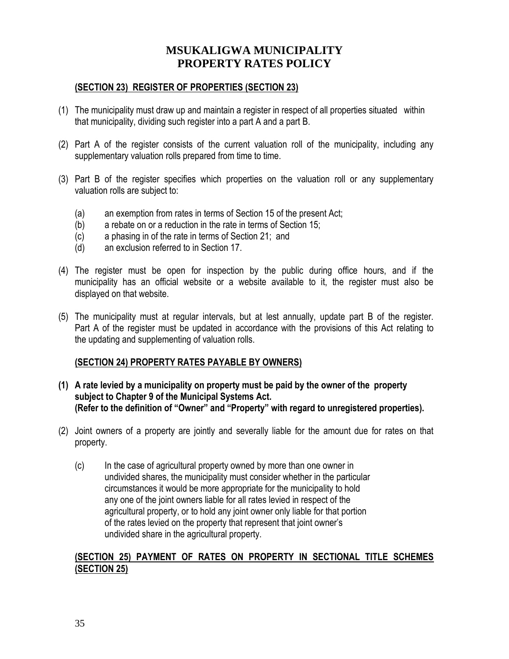#### **(SECTION 23) REGISTER OF PROPERTIES (SECTION 23)**

- (1) The municipality must draw up and maintain a register in respect of all properties situated within that municipality, dividing such register into a part A and a part B.
- (2) Part A of the register consists of the current valuation roll of the municipality, including any supplementary valuation rolls prepared from time to time.
- (3) Part B of the register specifies which properties on the valuation roll or any supplementary valuation rolls are subject to:
	- (a) an exemption from rates in terms of Section 15 of the present Act;
	- (b) a rebate on or a reduction in the rate in terms of Section 15;
	- (c) a phasing in of the rate in terms of Section 21; and
	- (d) an exclusion referred to in Section 17.
- (4) The register must be open for inspection by the public during office hours, and if the municipality has an official website or a website available to it, the register must also be displayed on that website.
- (5) The municipality must at regular intervals, but at lest annually, update part B of the register. Part A of the register must be updated in accordance with the provisions of this Act relating to the updating and supplementing of valuation rolls.

#### **(SECTION 24) PROPERTY RATES PAYABLE BY OWNERS)**

- **(1) A rate levied by a municipality on property must be paid by the owner of the property subject to Chapter 9 of the Municipal Systems Act. (Refer to the definition of "Owner" and "Property" with regard to unregistered properties).**
- (2) Joint owners of a property are jointly and severally liable for the amount due for rates on that property.
	- (c) In the case of agricultural property owned by more than one owner in undivided shares, the municipality must consider whether in the particular circumstances it would be more appropriate for the municipality to hold any one of the joint owners liable for all rates levied in respect of the agricultural property, or to hold any joint owner only liable for that portion of the rates levied on the property that represent that joint owner's undivided share in the agricultural property.

#### **(SECTION 25) PAYMENT OF RATES ON PROPERTY IN SECTIONAL TITLE SCHEMES (SECTION 25)**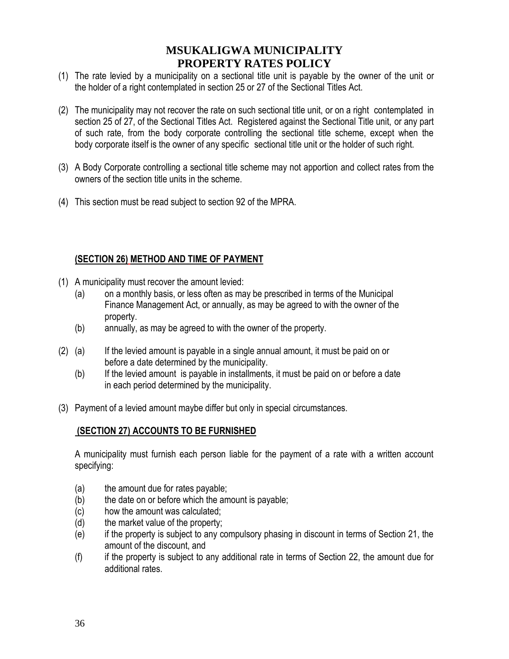- (1) The rate levied by a municipality on a sectional title unit is payable by the owner of the unit or the holder of a right contemplated in section 25 or 27 of the Sectional Titles Act.
- (2) The municipality may not recover the rate on such sectional title unit, or on a right contemplated in section 25 of 27, of the Sectional Titles Act. Registered against the Sectional Title unit, or any part of such rate, from the body corporate controlling the sectional title scheme, except when the body corporate itself is the owner of any specific sectional title unit or the holder of such right.
- (3) A Body Corporate controlling a sectional title scheme may not apportion and collect rates from the owners of the section title units in the scheme.
- (4) This section must be read subject to section 92 of the MPRA.

#### **(SECTION 26) METHOD AND TIME OF PAYMENT**

- (1) A municipality must recover the amount levied:
	- (a) on a monthly basis, or less often as may be prescribed in terms of the Municipal Finance Management Act, or annually, as may be agreed to with the owner of the property.
	- (b) annually, as may be agreed to with the owner of the property.
- (2) (a) If the levied amount is payable in a single annual amount, it must be paid on or before a date determined by the municipality.
	- (b) If the levied amount is payable in installments, it must be paid on or before a date in each period determined by the municipality.
- (3) Payment of a levied amount maybe differ but only in special circumstances.

#### **(SECTION 27) ACCOUNTS TO BE FURNISHED**

A municipality must furnish each person liable for the payment of a rate with a written account specifying:

- (a) the amount due for rates payable;
- (b) the date on or before which the amount is payable;
- (c) how the amount was calculated;
- (d) the market value of the property;
- (e) if the property is subject to any compulsory phasing in discount in terms of Section 21, the amount of the discount, and
- (f) if the property is subject to any additional rate in terms of Section 22, the amount due for additional rates.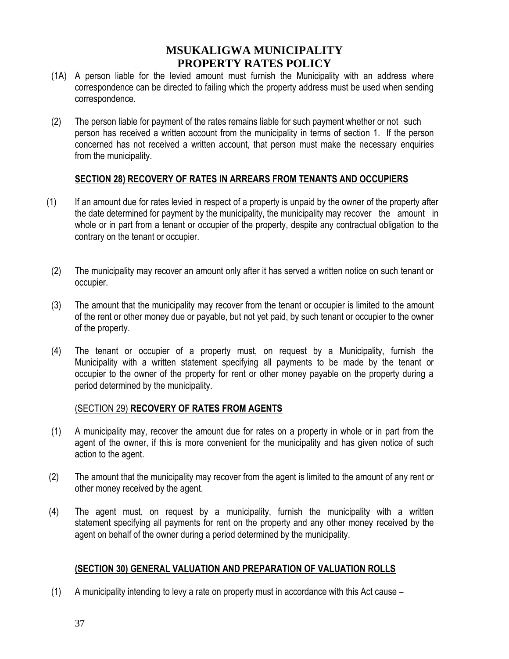- (1A) A person liable for the levied amount must furnish the Municipality with an address where correspondence can be directed to failing which the property address must be used when sending correspondence.
- (2) The person liable for payment of the rates remains liable for such payment whether or not such person has received a written account from the municipality in terms of section 1. If the person concerned has not received a written account, that person must make the necessary enquiries from the municipality.

#### **SECTION 28) RECOVERY OF RATES IN ARREARS FROM TENANTS AND OCCUPIERS**

- (1) If an amount due for rates levied in respect of a property is unpaid by the owner of the property after the date determined for payment by the municipality, the municipality may recover the amount in whole or in part from a tenant or occupier of the property, despite any contractual obligation to the contrary on the tenant or occupier.
- (2) The municipality may recover an amount only after it has served a written notice on such tenant or occupier.
- (3) The amount that the municipality may recover from the tenant or occupier is limited to the amount of the rent or other money due or payable, but not yet paid, by such tenant or occupier to the owner of the property.
- (4) The tenant or occupier of a property must, on request by a Municipality, furnish the Municipality with a written statement specifying all payments to be made by the tenant or occupier to the owner of the property for rent or other money payable on the property during a period determined by the municipality.

#### (SECTION 29) **RECOVERY OF RATES FROM AGENTS**

- (1) A municipality may, recover the amount due for rates on a property in whole or in part from the agent of the owner, if this is more convenient for the municipality and has given notice of such action to the agent.
- (2) The amount that the municipality may recover from the agent is limited to the amount of any rent or other money received by the agent.
- (4) The agent must, on request by a municipality, furnish the municipality with a written statement specifying all payments for rent on the property and any other money received by the agent on behalf of the owner during a period determined by the municipality.

#### **(SECTION 30) GENERAL VALUATION AND PREPARATION OF VALUATION ROLLS**

(1) A municipality intending to levy a rate on property must in accordance with this Act cause –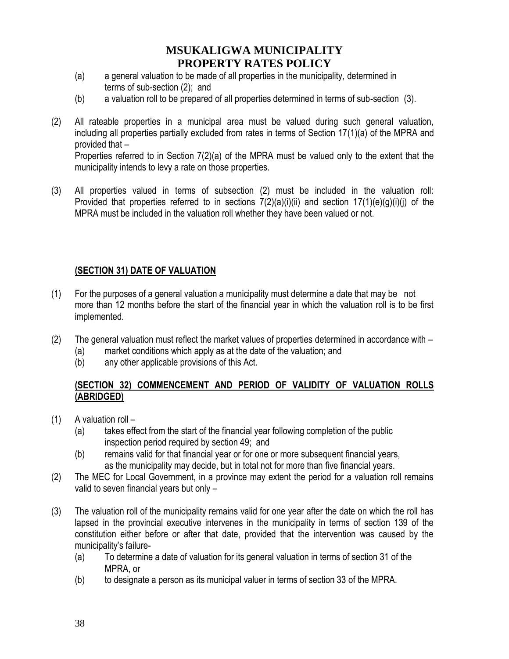- (a) a general valuation to be made of all properties in the municipality, determined in terms of sub-section (2); and
- (b) a valuation roll to be prepared of all properties determined in terms of sub-section (3).
- (2) All rateable properties in a municipal area must be valued during such general valuation, including all properties partially excluded from rates in terms of Section 17(1)(a) of the MPRA and provided that –

Properties referred to in Section 7(2)(a) of the MPRA must be valued only to the extent that the municipality intends to levy a rate on those properties.

(3) All properties valued in terms of subsection (2) must be included in the valuation roll: Provided that properties referred to in sections  $7(2)(a)(i)(ii)$  and section  $17(1)(e)(q)(i)(i)$  of the MPRA must be included in the valuation roll whether they have been valued or not.

### **(SECTION 31) DATE OF VALUATION**

- (1) For the purposes of a general valuation a municipality must determine a date that may be not more than 12 months before the start of the financial year in which the valuation roll is to be first implemented.
- (2) The general valuation must reflect the market values of properties determined in accordance with
	- (a) market conditions which apply as at the date of the valuation; and
	- (b) any other applicable provisions of this Act.

#### **(SECTION 32) COMMENCEMENT AND PERIOD OF VALIDITY OF VALUATION ROLLS (ABRIDGED)**

- $(1)$  A valuation roll
	- (a) takes effect from the start of the financial year following completion of the public inspection period required by section 49; and
	- (b) remains valid for that financial year or for one or more subsequent financial years, as the municipality may decide, but in total not for more than five financial years.
- (2) The MEC for Local Government, in a province may extent the period for a valuation roll remains valid to seven financial years but only –
- (3) The valuation roll of the municipality remains valid for one year after the date on which the roll has lapsed in the provincial executive intervenes in the municipality in terms of section 139 of the constitution either before or after that date, provided that the intervention was caused by the municipality's failure-
	- (a) To determine a date of valuation for its general valuation in terms of section 31 of the MPRA, or
	- (b) to designate a person as its municipal valuer in terms of section 33 of the MPRA.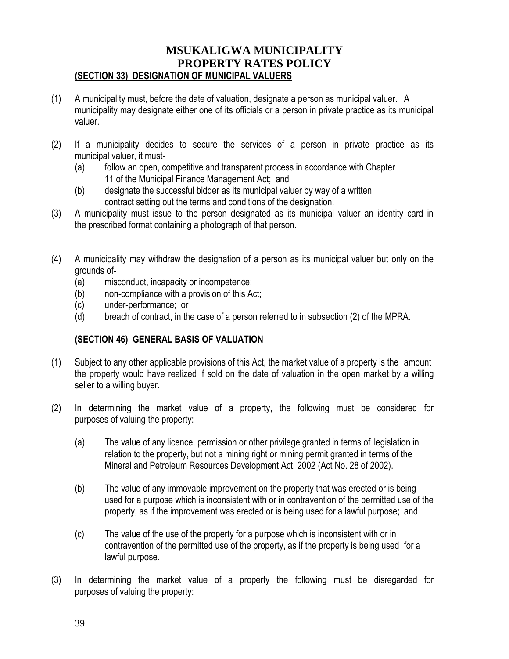### **MSUKALIGWA MUNICIPALITY PROPERTY RATES POLICY (SECTION 33) DESIGNATION OF MUNICIPAL VALUERS**

- (1) A municipality must, before the date of valuation, designate a person as municipal valuer. A municipality may designate either one of its officials or a person in private practice as its municipal valuer.
- (2) If a municipality decides to secure the services of a person in private practice as its municipal valuer, it must-
	- (a) follow an open, competitive and transparent process in accordance with Chapter 11 of the Municipal Finance Management Act; and
	- (b) designate the successful bidder as its municipal valuer by way of a written contract setting out the terms and conditions of the designation.
- (3) A municipality must issue to the person designated as its municipal valuer an identity card in the prescribed format containing a photograph of that person.
- (4) A municipality may withdraw the designation of a person as its municipal valuer but only on the grounds of-
	- (a) misconduct, incapacity or incompetence:
	- (b) non-compliance with a provision of this Act;
	- (c) under-performance; or
	- (d) breach of contract, in the case of a person referred to in subsection (2) of the MPRA.

### **(SECTION 46) GENERAL BASIS OF VALUATION**

- (1) Subject to any other applicable provisions of this Act, the market value of a property is the amount the property would have realized if sold on the date of valuation in the open market by a willing seller to a willing buyer.
- (2) In determining the market value of a property, the following must be considered for purposes of valuing the property:
	- (a) The value of any licence, permission or other privilege granted in terms of legislation in relation to the property, but not a mining right or mining permit granted in terms of the Mineral and Petroleum Resources Development Act, 2002 (Act No. 28 of 2002).
	- (b) The value of any immovable improvement on the property that was erected or is being used for a purpose which is inconsistent with or in contravention of the permitted use of the property, as if the improvement was erected or is being used for a lawful purpose; and
	- (c) The value of the use of the property for a purpose which is inconsistent with or in contravention of the permitted use of the property, as if the property is being used for a lawful purpose.
- (3) In determining the market value of a property the following must be disregarded for purposes of valuing the property: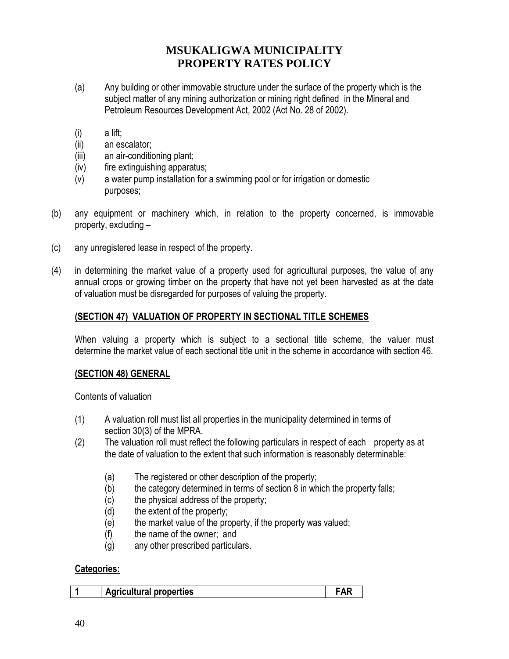- (a) Any building or other immovable structure under the surface of the property which is the subject matter of any mining authorization or mining right defined in the Mineral and Petroleum Resources Development Act, 2002 (Act No. 28 of 2002).
- (i) a lift;
- (ii) an escalator;
- (iii) an air-conditioning plant;
- (iv) fire extinguishing apparatus;
- (v) a water pump installation for a swimming pool or for irrigation or domestic purposes;
- (b) any equipment or machinery which, in relation to the property concerned, is immovable property, excluding –
- (c) any unregistered lease in respect of the property.
- (4) in determining the market value of a property used for agricultural purposes, the value of any annual crops or growing timber on the property that have not yet been harvested as at the date of valuation must be disregarded for purposes of valuing the property.

#### **(SECTION 47) VALUATION OF PROPERTY IN SECTIONAL TITLE SCHEMES**

When valuing a property which is subject to a sectional title scheme, the valuer must determine the market value of each sectional title unit in the scheme in accordance with section 46.

#### **(SECTION 48) GENERAL**

Contents of valuation

- (1) A valuation roll must list all properties in the municipality determined in terms of section 30(3) of the MPRA.
- (2) The valuation roll must reflect the following particulars in respect of each property as at the date of valuation to the extent that such information is reasonably determinable:
	- (a) The registered or other description of the property;
	- (b) the category determined in terms of section 8 in which the property falls;
	- (c) the physical address of the property;
	- (d) the extent of the property;
	- (e) the market value of the property, if the property was valued;
	- (f) the name of the owner; and
	- (g) any other prescribed particulars.

#### **Categories:**

|  | <b>Agricultural properties</b> |  |
|--|--------------------------------|--|
|--|--------------------------------|--|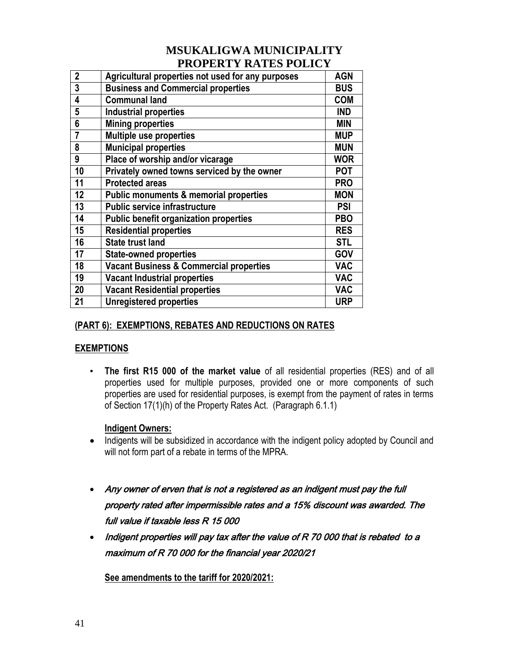| $\mathbf{2}$ | Agricultural properties not used for any purposes  | <b>AGN</b> |
|--------------|----------------------------------------------------|------------|
| 3            | <b>Business and Commercial properties</b>          | <b>BUS</b> |
| 4            | <b>Communal land</b>                               | <b>COM</b> |
| 5            | <b>Industrial properties</b>                       | <b>IND</b> |
| 6            | <b>Mining properties</b>                           | <b>MIN</b> |
| 7            | Multiple use properties                            | <b>MUP</b> |
| 8            | <b>Municipal properties</b>                        | <b>MUN</b> |
| 9            | Place of worship and/or vicarage                   | <b>WOR</b> |
| 10           | Privately owned towns serviced by the owner        | <b>POT</b> |
| 11           | <b>Protected areas</b>                             | <b>PRO</b> |
| 12           | <b>Public monuments &amp; memorial properties</b>  | <b>MON</b> |
| 13           | <b>Public service infrastructure</b>               | <b>PSI</b> |
| 14           | <b>Public benefit organization properties</b>      | <b>PBO</b> |
| 15           | <b>Residential properties</b>                      | <b>RES</b> |
| 16           | <b>State trust land</b>                            | <b>STL</b> |
| 17           | <b>State-owned properties</b>                      | GOV        |
| 18           | <b>Vacant Business &amp; Commercial properties</b> | <b>VAC</b> |
| 19           | <b>Vacant Industrial properties</b>                | <b>VAC</b> |
| 20           | <b>Vacant Residential properties</b>               | <b>VAC</b> |
| 21           | <b>Unregistered properties</b>                     | <b>URP</b> |

### **(PART 6): EXEMPTIONS, REBATES AND REDUCTIONS ON RATES**

### **EXEMPTIONS**

• **The first R15 000 of the market value** of all residential properties (RES) and of all properties used for multiple purposes, provided one or more components of such properties are used for residential purposes, is exempt from the payment of rates in terms of Section 17(1)(h) of the Property Rates Act. (Paragraph 6.1.1)

### **Indigent Owners:**

- Indigents will be subsidized in accordance with the indigent policy adopted by Council and will not form part of a rebate in terms of the MPRA.
- Any owner of erven that is not a registered as an indigent must pay the full property rated after impermissible rates and a 15% discount was awarded. The full value if taxable less R 15 000
- Indigent properties will pay tax after the value of R 70 000 that is rebated to a maximum of R 70 000 for the financial year 2020/21

**See amendments to the tariff for 2020/2021:**